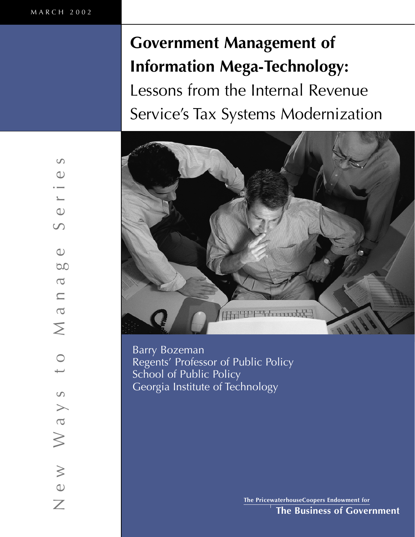# **Government Management of Information Mega-Technology:**

Lessons from the Internal Revenue Service's Tax Systems Modernization



Barry Bozeman Regents' Professor of Public Policy School of Public Policy Georgia Institute of Technology

> **The PricewaterhouseCoopers Endowment for The Business of Government**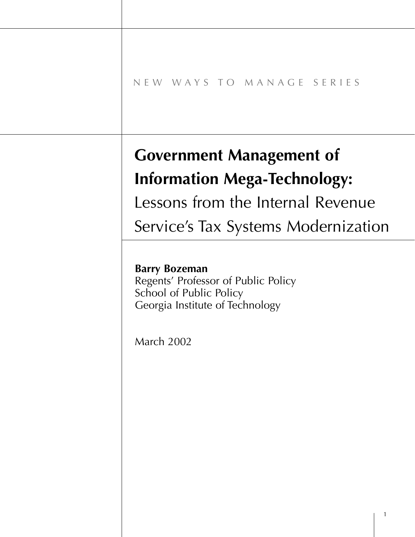# **Government Management of Information Mega-Technology:**

Lessons from the Internal Revenue Service's Tax Systems Modernization

# **Barry Bozeman**

Regents' Professor of Public Policy School of Public Policy Georgia Institute of Technology

March 2002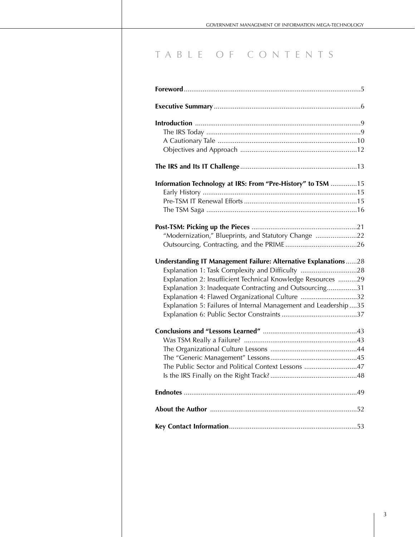# TABLE OF CONTENTS

| Information Technology at IRS: From "Pre-History" to TSM 15      |
|------------------------------------------------------------------|
|                                                                  |
|                                                                  |
|                                                                  |
|                                                                  |
| "Modernization," Blueprints, and Statutory Change 22             |
|                                                                  |
| Understanding IT Management Failure: Alternative Explanations28  |
| Explanation 1: Task Complexity and Difficulty 28                 |
| Explanation 2: Insufficient Technical Knowledge Resources 29     |
| Explanation 3: Inadequate Contracting and Outsourcing31          |
| Explanation 4: Flawed Organizational Culture 32                  |
| Explanation 5: Failures of Internal Management and Leadership 35 |
|                                                                  |
|                                                                  |
|                                                                  |
|                                                                  |
|                                                                  |
| The Public Sector and Political Context Lessons 47               |
|                                                                  |
|                                                                  |
|                                                                  |
|                                                                  |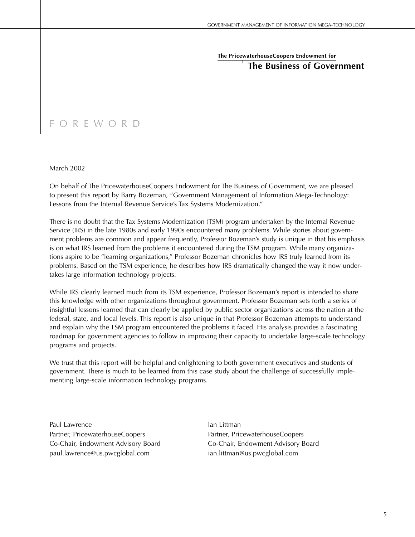**The PricewaterhouseCoopers Endowment for The Business of Government**

## FOREWORD

#### March 2002

On behalf of The PricewaterhouseCoopers Endowment for The Business of Government, we are pleased to present this report by Barry Bozeman, "Government Management of Information Mega-Technology: Lessons from the Internal Revenue Service's Tax Systems Modernization."

There is no doubt that the Tax Systems Modernization (TSM) program undertaken by the Internal Revenue Service (IRS) in the late 1980s and early 1990s encountered many problems. While stories about government problems are common and appear frequently, Professor Bozeman's study is unique in that his emphasis is on what IRS learned from the problems it encountered during the TSM program. While many organizations aspire to be "learning organizations," Professor Bozeman chronicles how IRS truly learned from its problems. Based on the TSM experience, he describes how IRS dramatically changed the way it now undertakes large information technology projects.

While IRS clearly learned much from its TSM experience, Professor Bozeman's report is intended to share this knowledge with other organizations throughout government. Professor Bozeman sets forth a series of insightful lessons learned that can clearly be applied by public sector organizations across the nation at the federal, state, and local levels. This report is also unique in that Professor Bozeman attempts to understand and explain why the TSM program encountered the problems it faced. His analysis provides a fascinating roadmap for government agencies to follow in improving their capacity to undertake large-scale technology programs and projects.

We trust that this report will be helpful and enlightening to both government executives and students of government. There is much to be learned from this case study about the challenge of successfully implementing large-scale information technology programs.

Paul Lawrence **Ian Littman** Partner, PricewaterhouseCoopers Partner, PricewaterhouseCoopers paul.lawrence@us.pwcglobal.com ian.littman@us.pwcglobal.com

Co-Chair, Endowment Advisory Board Co-Chair, Endowment Advisory Board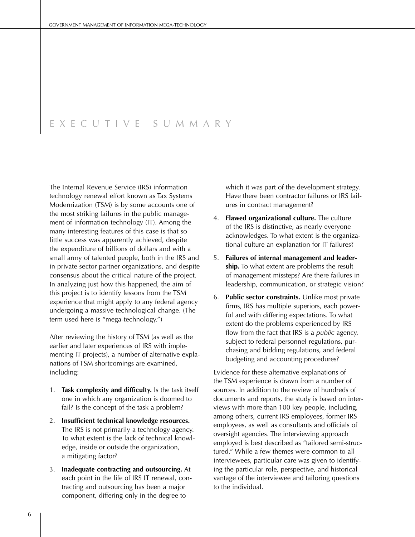## EXECUTIVE SUMMARY

The Internal Revenue Service (IRS) information technology renewal effort known as Tax Systems Modernization (TSM) is by some accounts one of the most striking failures in the public management of information technology (IT). Among the many interesting features of this case is that so little success was apparently achieved, despite the expenditure of billions of dollars and with a small army of talented people, both in the IRS and in private sector partner organizations, and despite consensus about the critical nature of the project. In analyzing just how this happened, the aim of this project is to identify lessons from the TSM experience that might apply to any federal agency undergoing a massive technological change. (The term used here is "mega-technology.")

After reviewing the history of TSM (as well as the earlier and later experiences of IRS with implementing IT projects), a number of alternative explanations of TSM shortcomings are examined, including:

- 1. **Task complexity and difficulty.** Is the task itself one in which any organization is doomed to fail? Is the concept of the task a problem?
- 2. **Insufficient technical knowledge resources.** The IRS is not primarily a technology agency. To what extent is the lack of technical knowledge, inside or outside the organization, a mitigating factor?
- 3. **Inadequate contracting and outsourcing.** At each point in the life of IRS IT renewal, contracting and outsourcing has been a major component, differing only in the degree to

which it was part of the development strategy. Have there been contractor failures or IRS failures in contract management?

- 4. **Flawed organizational culture.** The culture of the IRS is distinctive, as nearly everyone acknowledges. To what extent is the organizational culture an explanation for IT failures?
- 5. **Failures of internal management and leadership.** To what extent are problems the result of management missteps? Are there failures in leadership, communication, or strategic vision?
- 6. **Public sector constraints.** Unlike most private firms, IRS has multiple superiors, each powerful and with differing expectations. To what extent do the problems experienced by IRS flow from the fact that IRS is a *public* agency, subject to federal personnel regulations, purchasing and bidding regulations, and federal budgeting and accounting procedures?

Evidence for these alternative explanations of the TSM experience is drawn from a number of sources. In addition to the review of hundreds of documents and reports, the study is based on interviews with more than 100 key people, including, among others, current IRS employees, former IRS employees, as well as consultants and officials of oversight agencies. The interviewing approach employed is best described as "tailored semi-structured." While a few themes were common to all interviewees, particular care was given to identifying the particular role, perspective, and historical vantage of the interviewee and tailoring questions to the individual.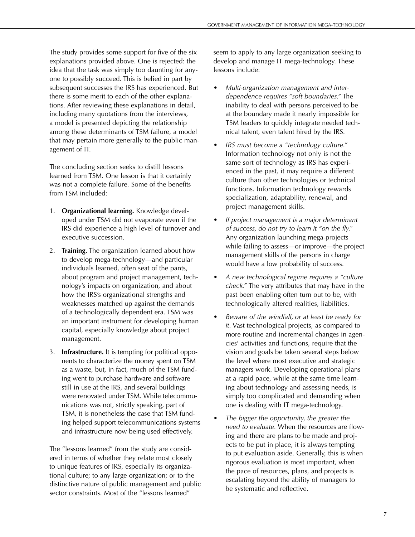The study provides some support for five of the six explanations provided above. One is rejected: the idea that the task was simply too daunting for anyone to possibly succeed. This is belied in part by subsequent successes the IRS has experienced. But there is some merit to each of the other explanations. After reviewing these explanations in detail, including many quotations from the interviews, a model is presented depicting the relationship among these determinants of TSM failure, a model that may pertain more generally to the public management of IT.

The concluding section seeks to distill lessons learned from TSM. One lesson is that it certainly was not a complete failure. Some of the benefits from TSM included:

- 1. **Organizational learning.** Knowledge developed under TSM did not evaporate even if the IRS did experience a high level of turnover and executive succession.
- 2. **Training.** The organization learned about how to develop mega-technology—and particular individuals learned, often seat of the pants, about program and project management, technology's impacts on organization, and about how the IRS's organizational strengths and weaknesses matched up against the demands of a technologically dependent era. TSM was an important instrument for developing human capital, especially knowledge about project management.
- 3. **Infrastructure.** It is tempting for political opponents to characterize the money spent on TSM as a waste, but, in fact, much of the TSM funding went to purchase hardware and software still in use at the IRS, and several buildings were renovated under TSM. While telecommunications was not, strictly speaking, part of TSM, it is nonetheless the case that TSM funding helped support telecommunications systems and infrastructure now being used effectively.

The "lessons learned" from the study are considered in terms of whether they relate most closely to unique features of IRS, especially its organizational culture; to any large organization; or to the distinctive nature of public management and public sector constraints. Most of the "lessons learned"

seem to apply to any large organization seeking to develop and manage IT mega-technology. These lessons include:

- *Multi-organization management and interdependence requires "soft boundaries."* The inability to deal with persons perceived to be at the boundary made it nearly impossible for TSM leaders to quickly integrate needed technical talent, even talent hired by the IRS.
- *IRS must become a "technology culture."* Information technology not only is not the same sort of technology as IRS has experienced in the past, it may require a different culture than other technologies or technical functions. Information technology rewards specialization, adaptability, renewal, and project management skills.
- *If project management is a major determinant of success, do not try to learn it "on the fly."* Any organization launching mega-projects while failing to assess—or improve—the project management skills of the persons in charge would have a low probability of success.
- *A new technological regime requires a "culture check."* The very attributes that may have in the past been enabling often turn out to be, with technologically altered realities, liabilities.
- *Beware of the windfall, or at least be ready for it.* Vast technological projects, as compared to more routine and incremental changes in agencies' activities and functions, require that the vision and goals be taken several steps below the level where most executive and strategic managers work. Developing operational plans at a rapid pace, while at the same time learning about technology and assessing needs, is simply too complicated and demanding when one is dealing with IT mega-technology.
- *The bigger the opportunity, the greater the need to evaluate.* When the resources are flowing and there are plans to be made and projects to be put in place, it is always tempting to put evaluation aside. Generally, this is when rigorous evaluation is most important, when the pace of resources, plans, and projects is escalating beyond the ability of managers to be systematic and reflective.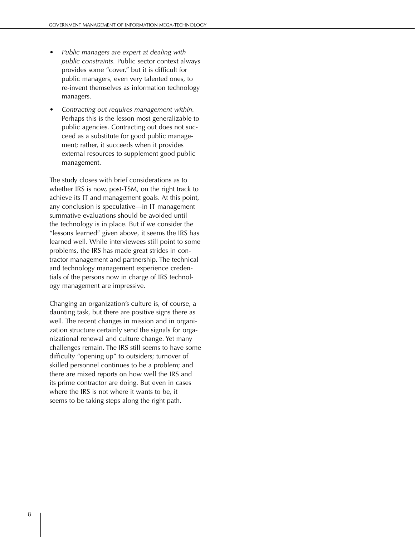- *Public managers are expert at dealing with public constraints.* Public sector context always provides some "cover," but it is difficult for public managers, even very talented ones, to re-invent themselves as information technology managers.
- *Contracting out requires management within.* Perhaps this is the lesson most generalizable to public agencies. Contracting out does not succeed as a substitute for good public management; rather, it succeeds when it provides external resources to supplement good public management.

The study closes with brief considerations as to whether IRS is now, post-TSM, on the right track to achieve its IT and management goals. At this point, any conclusion is speculative—in IT management summative evaluations should be avoided until the technology is in place. But if we consider the "lessons learned" given above, it seems the IRS has learned well. While interviewees still point to some problems, the IRS has made great strides in contractor management and partnership. The technical and technology management experience credentials of the persons now in charge of IRS technology management are impressive.

Changing an organization's culture is, of course, a daunting task, but there are positive signs there as well. The recent changes in mission and in organization structure certainly send the signals for organizational renewal and culture change. Yet many challenges remain. The IRS still seems to have some difficulty "opening up" to outsiders; turnover of skilled personnel continues to be a problem; and there are mixed reports on how well the IRS and its prime contractor are doing. But even in cases where the IRS is not where it wants to be, it seems to be taking steps along the right path.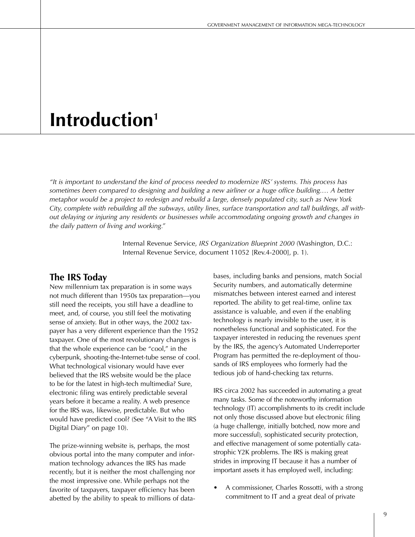# **Introduction1**

*"It is important to understand the kind of process needed to modernize IRS' systems. This process has sometimes been compared to designing and building a new airliner or a huge office building.… A better metaphor would be a project to redesign and rebuild a large, densely populated city, such as New York City, complete with rebuilding all the subways, utility lines, surface transportation and tall buildings, all without delaying or injuring any residents or businesses while accommodating ongoing growth and changes in the daily pattern of living and working."*

> Internal Revenue Service, *IRS Organization Blueprint 2000* (Washington, D.C.: Internal Revenue Service, document 11052 [Rev.4-2000], p. 1).

### **The IRS Today**

New millennium tax preparation is in some ways not much different than 1950s tax preparation—you still need the receipts, you still have a deadline to meet, and, of course, you still feel the motivating sense of anxiety. But in other ways, the 2002 taxpayer has a very different experience than the 1952 taxpayer. One of the most revolutionary changes is that the whole experience can be "cool," in the cyberpunk, shooting-the-Internet-tube sense of cool. What technological visionary would have ever believed that the IRS website would be the place to be for the latest in high-tech multimedia? Sure, electronic filing was entirely predictable several years before it became a reality. A web presence for the IRS was, likewise, predictable. But who would have predicted cool? (See "A Visit to the IRS Digital Diary" on page 10).

The prize-winning website is, perhaps, the most obvious portal into the many computer and information technology advances the IRS has made recently, but it is neither the most challenging nor the most impressive one. While perhaps not the favorite of taxpayers, taxpayer efficiency has been abetted by the ability to speak to millions of databases, including banks and pensions, match Social Security numbers, and automatically determine mismatches between interest earned and interest reported. The ability to get real-time, online tax assistance is valuable, and even if the enabling technology is nearly invisible to the user, it is nonetheless functional and sophisticated. For the taxpayer interested in reducing the revenues *spent* by the IRS, the agency's Automated Underreporter Program has permitted the re-deployment of thousands of IRS employees who formerly had the tedious job of hand-checking tax returns.

IRS circa 2002 has succeeded in automating a great many tasks. Some of the noteworthy information technology (IT) accomplishments to its credit include not only those discussed above but electronic filing (a huge challenge, initially botched, now more and more successful), sophisticated security protection, and effective management of some potentially catastrophic Y2K problems. The IRS is making great strides in improving IT because it has a number of important assets it has employed well, including:

• A commissioner, Charles Rossotti, with a strong commitment to IT and a great deal of private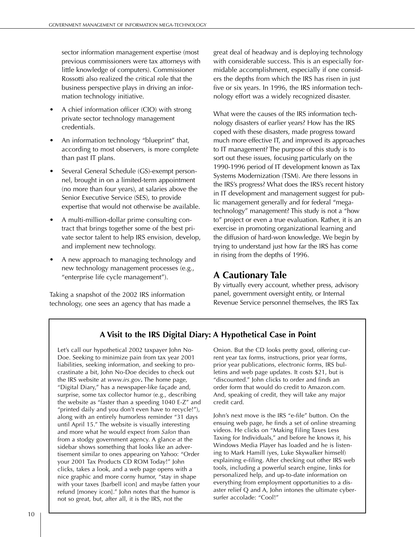sector information management expertise (most previous commissioners were tax attorneys with little knowledge of computers). Commissioner Rossotti also realized the critical role that the business perspective plays in driving an information technology initiative.

- A chief information officer (CIO) with strong private sector technology management credentials.
- An information technology "blueprint" that, according to most observers, is more complete than past IT plans.
- Several General Schedule (GS)-exempt personnel, brought in on a limited-term appointment (no more than four years), at salaries above the Senior Executive Service (SES), to provide expertise that would not otherwise be available.
- A multi-million-dollar prime consulting contract that brings together some of the best private sector talent to help IRS envision, develop, and implement new technology.
- A new approach to managing technology and new technology management processes (e.g., "enterprise life cycle management").

Taking a snapshot of the 2002 IRS information technology, one sees an agency that has made a great deal of headway and is deploying technology with considerable success. This is an especially formidable accomplishment, especially if one considers the depths from which the IRS has risen in just five or six years. In 1996, the IRS information technology effort was a widely recognized disaster.

What were the causes of the IRS information technology disasters of earlier years? How has the IRS coped with these disasters, made progress toward much more effective IT, and improved its approaches to IT management? The purpose of this study is to sort out these issues, focusing particularly on the 1990-1996 period of IT development known as Tax Systems Modernization (TSM). Are there lessons in the IRS's progress? What does the IRS's recent history in IT development and management suggest for public management generally and for federal "megatechnology" management? This study is not a "how to" project or even a true evaluation. Rather, it is an exercise in promoting organizational learning and the diffusion of hard-won knowledge. We begin by trying to understand just how far the IRS has come in rising from the depths of 1996.

## **A Cautionary Tale**

By virtually every account, whether press, advisory panel, government oversight entity, or Internal Revenue Service personnel themselves, the IRS Tax

### **A Visit to the IRS Digital Diary: A Hypothetical Case in Point**

Let's call our hypothetical 2002 taxpayer John No-Doe. Seeking to minimize pain from tax year 2001 liabilities, seeking information, and seeking to procrastinate a bit, John No-Doe decides to check out the IRS website at *www.irs.gov***.** The home page, "Digital Diary," has a newspaper-like façade and, surprise, some tax collector humor (e.g., describing the website as "faster than a speeding 1040 E-Z" and "printed daily and you don't even have to recycle!"), along with an entirely humorless reminder "31 days until April 15." The website is visually interesting and more what he would expect from *Salon* than from a stodgy government agency. A glance at the sidebar shows something that looks like an advertisement similar to ones appearing on Yahoo: "Order your 2001 Tax Products CD ROM Today!" John clicks, takes a look, and a web page opens with a nice graphic and more corny humor, "stay in shape with your taxes [barbell icon] and maybe fatten your refund [money icon]." John notes that the humor is not so great, but, after all, it is the IRS, not the

Onion. But the CD looks pretty good, offering current year tax forms, instructions, prior year forms, prior year publications, electronic forms, IRS bulletins and web page updates. It costs \$21, but is "discounted." John clicks to order and finds an order form that would do credit to Amazon.com. And, speaking of credit, they will take any major credit card.

John's next move is the IRS "e-file" button. On the ensuing web page, he finds a set of online streaming videos. He clicks on "Making Filing Taxes Less Taxing for Individuals," and before he knows it, his Windows Media Player has loaded and he is listening to Mark Hamill (yes, Luke Skywalker himself) explaining e-filing. After checking out other IRS web tools, including a powerful search engine, links for personalized help, and up-to-date information on everything from employment opportunities to a disaster relief Q and A, John intones the ultimate cybersurfer accolade: "Cool!"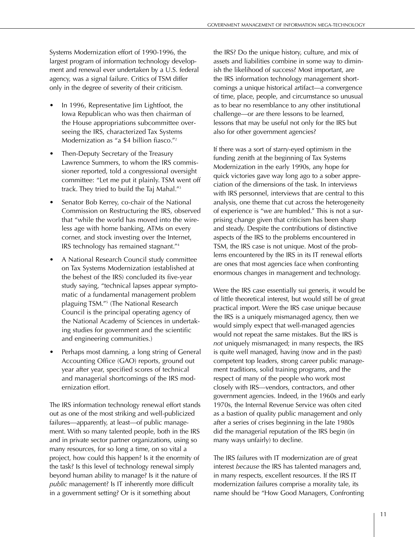Systems Modernization effort of 1990-1996, the largest program of information technology development and renewal ever undertaken by a U.S. federal agency, was a signal failure. Critics of TSM differ only in the degree of severity of their criticism.

- In 1996, Representative Jim Lightfoot, the Iowa Republican who was then chairman of the House appropriations subcommittee overseeing the IRS, characterized Tax Systems Modernization as "a \$4 billion fiasco."2
- Then-Deputy Secretary of the Treasury Lawrence Summers, to whom the IRS commissioner reported, told a congressional oversight committee: "Let me put it plainly. TSM went off track. They tried to build the Taj Mahal."3
- Senator Bob Kerrey, co-chair of the National Commission on Restructuring the IRS, observed that "while the world has moved into the wireless age with home banking, ATMs on every corner, and stock investing over the Internet, IRS technology has remained stagnant."4
- A National Research Council study committee on Tax Systems Modernization (established at the behest of the IRS) concluded its five-year study saying, "technical lapses appear symptomatic of a fundamental management problem plaguing TSM."5 (The National Research Council is the principal operating agency of the National Academy of Sciences in undertaking studies for government and the scientific and engineering communities.)
- Perhaps most damning, a long string of General Accounting Office (GAO) reports, ground out year after year, specified scores of technical and managerial shortcomings of the IRS modernization effort.

The IRS information technology renewal effort stands out as one of the most striking and well-publicized failures—apparently, at least—of public management. With so many talented people, both in the IRS and in private sector partner organizations, using so many resources, for so long a time, on so vital a project, how could this happen? Is it the enormity of the task? Is this level of technology renewal simply beyond human ability to manage? Is it the nature of *public* management? Is IT inherently more difficult in a government setting? Or is it something about

the IRS? Do the unique history, culture, and mix of assets and liabilities combine in some way to diminish the likelihood of success? Most important, are the IRS information technology management shortcomings a unique historical artifact—a convergence of time, place, people, and circumstance so unusual as to bear no resemblance to any other institutional challenge—or are there lessons to be learned, lessons that may be useful not only for the IRS but also for other government agencies?

If there was a sort of starry-eyed optimism in the funding zenith at the beginning of Tax Systems Modernization in the early 1990s, any hope for quick victories gave way long ago to a sober appreciation of the dimensions of the task. In interviews with IRS personnel, interviews that are central to this analysis, one theme that cut across the heterogeneity of experience is "we are humbled." This is not a surprising change given that criticism has been sharp and steady. Despite the contributions of distinctive aspects of the IRS to the problems encountered in TSM, the IRS case is not unique. Most of the problems encountered by the IRS in its IT renewal efforts are ones that most agencies face when confronting enormous changes in management and technology.

Were the IRS case essentially sui generis, it would be of little theoretical interest, but would still be of great practical import. Were the IRS case unique because the IRS is a uniquely mismanaged agency, then we would simply expect that well-managed agencies would not repeat the same mistakes. But the IRS is *not* uniquely mismanaged; in many respects, the IRS is quite well managed, having (now and in the past) competent top leaders, strong career public management traditions, solid training programs, and the respect of many of the people who work most closely with IRS—vendors, contractors, and other government agencies. Indeed, in the 1960s and early 1970s, the Internal Revenue Service was often cited as a bastion of quality public management and only after a series of crises beginning in the late 1980s did the managerial reputation of the IRS begin (in many ways unfairly) to decline.

The IRS failures with IT modernization are of great interest *because* the IRS has talented managers and, in many respects, excellent resources. If the IRS IT modernization failures comprise a morality tale, its name should be "How Good Managers, Confronting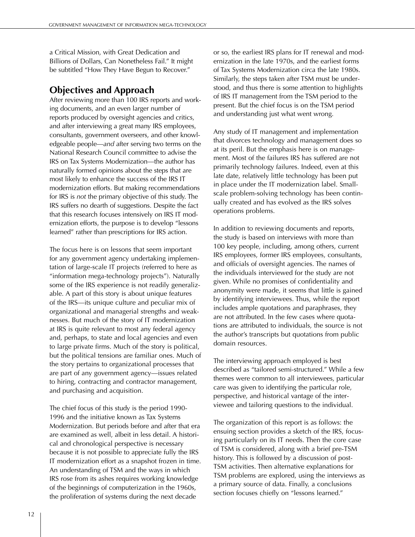a Critical Mission, with Great Dedication and Billions of Dollars, Can Nonetheless Fail." It might be subtitled "How They Have Begun to Recover."

## **Objectives and Approach**

After reviewing more than 100 IRS reports and working documents, and an even larger number of reports produced by oversight agencies and critics, and after interviewing a great many IRS employees, consultants, government overseers, and other knowledgeable people—*and* after serving two terms on the National Research Council committee to advise the IRS on Tax Systems Modernization—the author has naturally formed opinions about the steps that are most likely to enhance the success of the IRS IT modernization efforts. But making recommendations for IRS is *not* the primary objective of this study. The IRS suffers no dearth of suggestions. Despite the fact that this research focuses intensively on IRS IT modernization efforts, the purpose is to develop "lessons learned" rather than prescriptions for IRS action.

The focus here is on lessons that seem important for any government agency undertaking implementation of large-scale IT projects (referred to here as "information mega-technology projects"). Naturally some of the IRS experience is not readily generalizable. A part of this story is about unique features of the IRS—its unique culture and peculiar mix of organizational and managerial strengths and weaknesses. But much of the story of IT modernization at IRS is quite relevant to most any federal agency and, perhaps, to state and local agencies and even to large private firms. Much of the story is political, but the political tensions are familiar ones. Much of the story pertains to organizational processes that are part of any government agency—issues related to hiring, contracting and contractor management, and purchasing and acquisition.

The chief focus of this study is the period 1990- 1996 and the initiative known as Tax Systems Modernization. But periods before and after that era are examined as well, albeit in less detail. A historical and chronological perspective is necessary because it is not possible to appreciate fully the IRS IT modernization effort as a snapshot frozen in time. An understanding of TSM and the ways in which IRS rose from its ashes requires working knowledge of the beginnings of computerization in the 1960s, the proliferation of systems during the next decade

or so, the earliest IRS plans for IT renewal and modernization in the late 1970s, and the earliest forms of Tax Systems Modernization circa the late 1980s. Similarly, the steps taken after TSM must be understood, and thus there is some attention to highlights of IRS IT management from the TSM period to the present. But the chief focus is on the TSM period and understanding just what went wrong.

Any study of IT management and implementation that divorces technology and management does so at its peril. But the emphasis here is on management. Most of the failures IRS has suffered are not primarily technology failures. Indeed, even at this late date, relatively little technology has been put in place under the IT modernization label. Smallscale problem-solving technology has been continually created and has evolved as the IRS solves operations problems.

In addition to reviewing documents and reports, the study is based on interviews with more than 100 key people, including, among others, current IRS employees, former IRS employees, consultants, and officials of oversight agencies. The names of the individuals interviewed for the study are not given. While no promises of confidentiality and anonymity were made, it seems that little is gained by identifying interviewees. Thus, while the report includes ample quotations and paraphrases, they are not attributed. In the few cases where quotations are attributed to individuals, the source is not the author's transcripts but quotations from public domain resources.

The interviewing approach employed is best described as "tailored semi-structured." While a few themes were common to all interviewees, particular care was given to identifying the particular role, perspective, and historical vantage of the interviewee and tailoring questions to the individual.

The organization of this report is as follows: the ensuing section provides a sketch of the IRS, focusing particularly on its IT needs. Then the core case of TSM is considered, along with a brief pre-TSM history. This is followed by a discussion of post-TSM activities. Then alternative explanations for TSM problems are explored, using the interviews as a primary source of data. Finally, a conclusions section focuses chiefly on "lessons learned."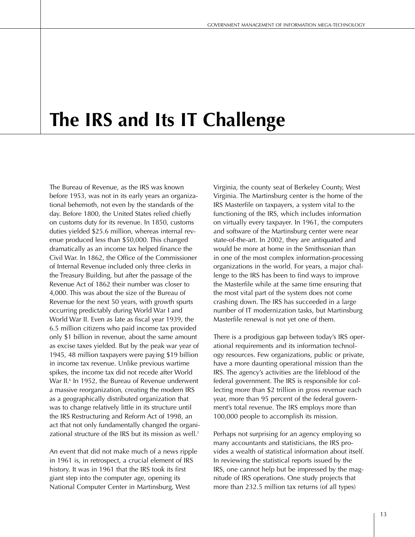# **The IRS and Its IT Challenge**

The Bureau of Revenue, as the IRS was known before 1953, was not in its early years an organizational behemoth, not even by the standards of the day. Before 1800, the United States relied chiefly on customs duty for its revenue. In 1850, customs duties yielded \$25.6 million, whereas internal revenue produced less than \$50,000. This changed dramatically as an income tax helped finance the Civil War. In 1862, the Office of the Commissioner of Internal Revenue included only three clerks in the Treasury Building, but after the passage of the Revenue Act of 1862 their number was closer to 4,000. This was about the size of the Bureau of Revenue for the next 50 years, with growth spurts occurring predictably during World War I and World War II. Even as late as fiscal year 1939, the 6.5 million citizens who paid income tax provided only \$1 billion in revenue, about the same amount as excise taxes yielded. But by the peak war year of 1945, 48 million taxpayers were paying \$19 billion in income tax revenue. Unlike previous wartime spikes, the income tax did not recede after World War II.<sup>6</sup> In 1952, the Bureau of Revenue underwent a massive reorganization, creating the modern IRS as a geographically distributed organization that was to change relatively little in its structure until the IRS Restructuring and Reform Act of 1998, an act that not only fundamentally changed the organizational structure of the IRS but its mission as well.7

An event that did not make much of a news ripple in 1961 is, in retrospect, a crucial element of IRS history. It was in 1961 that the IRS took its first giant step into the computer age, opening its National Computer Center in Martinsburg, West

Virginia, the county seat of Berkeley County, West Virginia. The Martinsburg center is the home of the IRS Masterfile on taxpayers, a system vital to the functioning of the IRS, which includes information on virtually every taxpayer. In 1961, the computers and software of the Martinsburg center were near state-of-the-art. In 2002, they are antiquated and would be more at home in the Smithsonian than in one of the most complex information-processing organizations in the world. For years, a major challenge to the IRS has been to find ways to improve the Masterfile while at the same time ensuring that the most vital part of the system does not come crashing down. The IRS has succeeded in a large number of IT modernization tasks, but Martinsburg Masterfile renewal is not yet one of them.

There is a prodigious gap between today's IRS operational requirements and its information technology resources. Few organizations, public or private, have a more daunting operational mission than the IRS. The agency's activities are the lifeblood of the federal government. The IRS is responsible for collecting more than \$2 trillion in gross revenue each year, more than 95 percent of the federal government's total revenue. The IRS employs more than 100,000 people to accomplish its mission.

Perhaps not surprising for an agency employing so many accountants and statisticians, the IRS provides a wealth of statistical information about itself. In reviewing the statistical reports issued by the IRS, one cannot help but be impressed by the magnitude of IRS operations. One study projects that more than 232.5 million tax returns (of all types)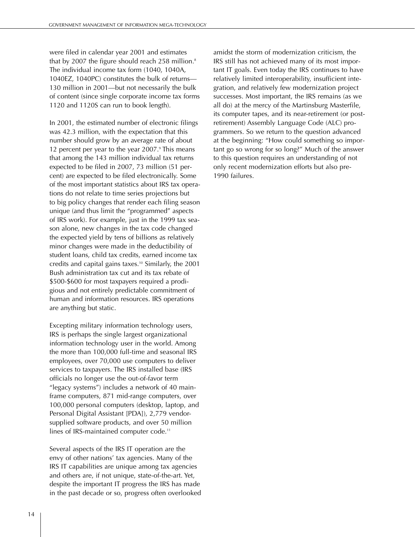were filed in calendar year 2001 and estimates that by 2007 the figure should reach 258 million.<sup>8</sup> The individual income tax form (1040, 1040A, 1040EZ, 1040PC) constitutes the bulk of returns— 130 million in 2001—but not necessarily the bulk of content (since single corporate income tax forms 1120 and 1120S can run to book length).

In 2001, the estimated number of electronic filings was 42.3 million, with the expectation that this number should grow by an average rate of about 12 percent per year to the year  $2007$ .<sup>9</sup> This means that among the 143 million individual tax returns expected to be filed in 2007, 73 million (51 percent) are expected to be filed electronically. Some of the most important statistics about IRS tax operations do not relate to time series projections but to big policy changes that render each filing season unique (and thus limit the "programmed" aspects of IRS work). For example, just in the 1999 tax season alone, new changes in the tax code changed the expected yield by tens of billions as relatively minor changes were made in the deductibility of student loans, child tax credits, earned income tax credits and capital gains taxes.10 Similarly, the 2001 Bush administration tax cut and its tax rebate of \$500-\$600 for most taxpayers required a prodigious and not entirely predictable commitment of human and information resources. IRS operations are anything but static.

Excepting military information technology users, IRS is perhaps the single largest organizational information technology user in the world. Among the more than 100,000 full-time and seasonal IRS employees, over 70,000 use computers to deliver services to taxpayers. The IRS installed base (IRS officials no longer use the out-of-favor term "legacy systems") includes a network of 40 mainframe computers, 871 mid-range computers, over 100,000 personal computers (desktop, laptop, and Personal Digital Assistant [PDA]), 2,779 vendorsupplied software products, and over 50 million lines of IRS-maintained computer code.<sup>11</sup>

Several aspects of the IRS IT operation are the envy of other nations' tax agencies. Many of the IRS IT capabilities are unique among tax agencies and others are, if not unique, state-of-the-art. Yet, despite the important IT progress the IRS has made in the past decade or so, progress often overlooked amidst the storm of modernization criticism, the IRS still has not achieved many of its most important IT goals. Even today the IRS continues to have relatively limited interoperability, insufficient integration, and relatively few modernization project successes. Most important, the IRS remains (as we all do) at the mercy of the Martinsburg Masterfile, its computer tapes, and its near-retirement (or postretirement) Assembly Language Code (ALC) programmers. So we return to the question advanced at the beginning: "How could something so important go so wrong for so long?" Much of the answer to this question requires an understanding of not only recent modernization efforts but also pre-1990 failures.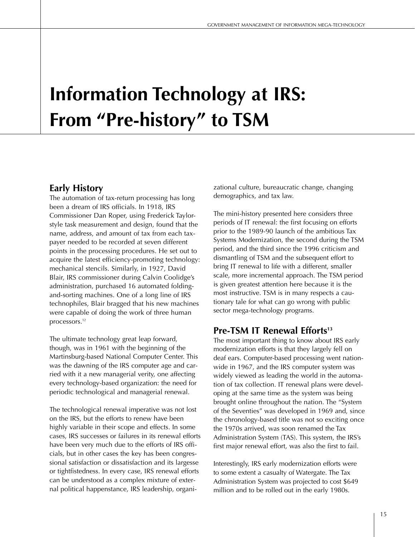# **Information Technology at IRS: From "Pre-history" to TSM**

### **Early History**

The automation of tax-return processing has long been a dream of IRS officials. In 1918, IRS Commissioner Dan Roper, using Frederick Taylorstyle task measurement and design, found that the name, address, and amount of tax from each taxpayer needed to be recorded at seven different points in the processing procedures. He set out to acquire the latest efficiency-promoting technology: mechanical stencils. Similarly, in 1927, David Blair, IRS commissioner during Calvin Coolidge's administration, purchased 16 automated foldingand-sorting machines. One of a long line of IRS technophiles, Blair bragged that his new machines were capable of doing the work of three human processors.<sup>12</sup>

The ultimate technology great leap forward, though, was in 1961 with the beginning of the Martinsburg-based National Computer Center. This was the dawning of the IRS computer age and carried with it a new managerial verity, one affecting every technology-based organization: the need for periodic technological and managerial renewal.

The technological renewal imperative was not lost on the IRS, but the efforts to renew have been highly variable in their scope and effects. In some cases, IRS successes or failures in its renewal efforts have been very much due to the efforts of IRS officials, but in other cases the key has been congressional satisfaction or dissatisfaction and its largesse or tightfistedness. In every case, IRS renewal efforts can be understood as a complex mixture of external political happenstance, IRS leadership, organizational culture, bureaucratic change, changing demographics, and tax law.

The mini-history presented here considers three periods of IT renewal: the first focusing on efforts prior to the 1989-90 launch of the ambitious Tax Systems Modernization, the second during the TSM period, and the third since the 1996 criticism and dismantling of TSM and the subsequent effort to bring IT renewal to life with a different, smaller scale, more incremental approach. The TSM period is given greatest attention here because it is the most instructive. TSM is in many respects a cautionary tale for what can go wrong with public sector mega-technology programs.

### **Pre-TSM IT Renewal Efforts**<sup>13</sup>

The most important thing to know about IRS early modernization efforts is that they largely fell on deaf ears. Computer-based processing went nationwide in 1967, and the IRS computer system was widely viewed as leading the world in the automation of tax collection. IT renewal plans were developing at the same time as the system was being brought online throughout the nation. The "System of the Seventies" was developed in 1969 and, since the chronology-based title was not so exciting once the 1970s arrived, was soon renamed the Tax Administration System (TAS). This system, the IRS's first major renewal effort, was also the first to fail.

Interestingly, IRS early modernization efforts were to some extent a casualty of Watergate. The Tax Administration System was projected to cost \$649 million and to be rolled out in the early 1980s.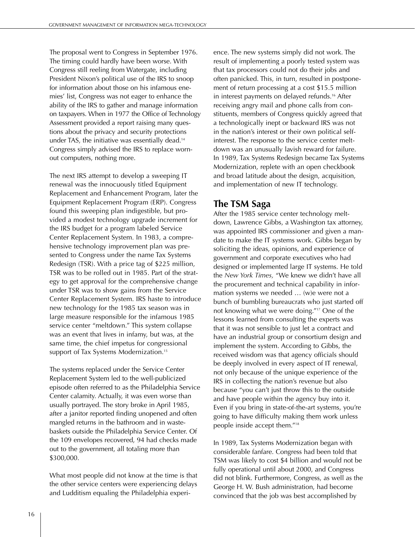The proposal went to Congress in September 1976. The timing could hardly have been worse. With Congress still reeling from Watergate, including President Nixon's political use of the IRS to snoop for information about those on his infamous enemies' list, Congress was not eager to enhance the ability of the IRS to gather and manage information on taxpayers. When in 1977 the Office of Technology Assessment provided a report raising many questions about the privacy and security protections under TAS, the initiative was essentially dead.14 Congress simply advised the IRS to replace wornout computers, nothing more.

The next IRS attempt to develop a sweeping IT renewal was the innocuously titled Equipment Replacement and Enhancement Program, later the Equipment Replacement Program (ERP). Congress found this sweeping plan indigestible, but provided a modest technology upgrade increment for the IRS budget for a program labeled Service Center Replacement System. In 1983, a comprehensive technology improvement plan was presented to Congress under the name Tax Systems Redesign (TSR). With a price tag of \$225 million, TSR was to be rolled out in 1985. Part of the strategy to get approval for the comprehensive change under TSR was to show gains from the Service Center Replacement System. IRS haste to introduce new technology for the 1985 tax season was in large measure responsible for the infamous 1985 service center "meltdown." This system collapse was an event that lives in infamy, but was, at the same time, the chief impetus for congressional support of Tax Systems Modernization.<sup>15</sup>

The systems replaced under the Service Center Replacement System led to the well-publicized episode often referred to as the Philadelphia Service Center calamity. Actually, it was even worse than usually portrayed. The story broke in April 1985, after a janitor reported finding unopened and often mangled returns in the bathroom and in wastebaskets outside the Philadelphia Service Center. Of the 109 envelopes recovered, 94 had checks made out to the government, all totaling more than \$300,000.

What most people did not know at the time is that the other service centers were experiencing delays and Ludditism equaling the Philadelphia experience. The new systems simply did not work. The result of implementing a poorly tested system was that tax processors could not do their jobs and often panicked. This, in turn, resulted in postponement of return processing at a cost \$15.5 million in interest payments on delayed refunds.<sup>16</sup> After receiving angry mail and phone calls from constituents, members of Congress quickly agreed that a technologically inept or backward IRS was not in the nation's interest or their own political selfinterest. The response to the service center meltdown was an unusually lavish reward for failure. In 1989, Tax Systems Redesign became Tax Systems Modernization, replete with an open checkbook and broad latitude about the design, acquisition, and implementation of new IT technology.

### **The TSM Saga**

After the 1985 service center technology meltdown, Lawrence Gibbs, a Washington tax attorney, was appointed IRS commissioner and given a mandate to make the IT systems work. Gibbs began by soliciting the ideas, opinions, and experience of government and corporate executives who had designed or implemented large IT systems. He told the *New York Times,* "We knew we didn't have all the procurement and technical capability in information systems we needed … (w)e were not a bunch of bumbling bureaucrats who just started off not knowing what we were doing."17 One of the lessons learned from consulting the experts was that it was not sensible to just let a contract and have an industrial group or consortium design and implement the system. According to Gibbs, the received wisdom was that agency officials should be deeply involved in every aspect of IT renewal, not only because of the unique experience of the IRS in collecting the nation's revenue but also because "you can't just throw this to the outside and have people within the agency buy into it. Even if you bring in state-of-the-art systems, you're going to have difficulty making them work unless people inside accept them."18

In 1989, Tax Systems Modernization began with considerable fanfare. Congress had been told that TSM was likely to cost \$4 billion and would not be fully operational until about 2000, and Congress did not blink. Furthermore, Congress, as well as the George H. W. Bush administration, had become convinced that the job was best accomplished by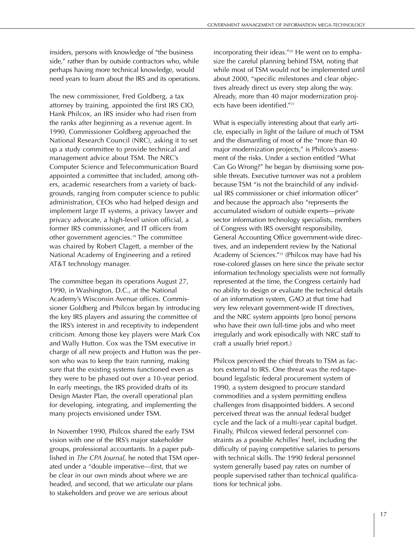insiders, persons with knowledge of "the business side," rather than by outside contractors who, while perhaps having more technical knowledge, would need years to learn about the IRS and its operations.

The new commissioner, Fred Goldberg, a tax attorney by training, appointed the first IRS CIO, Hank Philcox, an IRS insider who had risen from the ranks after beginning as a revenue agent. In 1990, Commissioner Goldberg approached the National Research Council (NRC), asking it to set up a study committee to provide technical and management advice about TSM. The NRC's Computer Science and Telecommunication Board appointed a committee that included, among others, academic researchers from a variety of backgrounds, ranging from computer science to public administration, CEOs who had helped design and implement large IT systems, a privacy lawyer and privacy advocate, a high-level union official, a former IRS commissioner, and IT officers from other government agencies.19 The committee was chaired by Robert Clagett, a member of the National Academy of Engineering and a retired AT&T technology manager.

The committee began its operations August 27, 1990, in Washington, D.C., at the National Academy's Wisconsin Avenue offices. Commissioner Goldberg and Philcox began by introducing the key IRS players and assuring the committee of the IRS's interest in and receptivity to independent criticism. Among those key players were Mark Cox and Wally Hutton. Cox was the TSM executive in charge of all new projects and Hutton was the person who was to keep the train running, making sure that the existing systems functioned even as they were to be phased out over a 10-year period. In early meetings, the IRS provided drafts of its Design Master Plan, the overall operational plan for developing, integrating, and implementing the many projects envisioned under TSM.

In November 1990, Philcox shared the early TSM vision with one of the IRS's major stakeholder groups, professional accountants. In a paper published in *The CPA Journal,* he noted that TSM operated under a "double imperative—first, that we be clear in our own minds about where we are headed, and second, that we articulate our plans to stakeholders and prove we are serious about

incorporating their ideas."20 He went on to emphasize the careful planning behind TSM, noting that while most of TSM would not be implemented until about 2000, "specific milestones and clear objectives already direct us every step along the way. Already, more than 40 major modernization projects have been identified."<sup>21</sup>

What is especially interesting about that early article, especially in light of the failure of much of TSM and the dismantling of most of the "more than 40 major modernization projects," is Philcox's assessment of the risks. Under a section entitled "What Can Go Wrong?" he began by dismissing some possible threats. Executive turnover was not a problem because TSM "is not the brainchild of any individual IRS commissioner or chief information officer" and because the approach also "represents the accumulated wisdom of outside experts—private sector information technology specialists, members of Congress with IRS oversight responsibility, General Accounting Office government-wide directives, and an independent review by the National Academy of Sciences."<sup>22</sup> (Philcox may have had his rose-colored glasses on here since the private sector information technology specialists were not formally represented at the time, the Congress certainly had no ability to design or evaluate the technical details of an information system, GAO at that time had very few relevant government-wide IT directives, and the NRC system appoints [pro bono] persons who have their own full-time jobs and who meet irregularly and work episodically with NRC staff to craft a usually brief report.)

Philcox perceived the chief threats to TSM as factors external to IRS. One threat was the red-tapebound legalistic federal procurement system of 1990, a system designed to procure standard commodities and a system permitting endless challenges from disappointed bidders. A second perceived threat was the annual federal budget cycle and the lack of a multi-year capital budget. Finally, Philcox viewed federal personnel constraints as a possible Achilles' heel, including the difficulty of paying competitive salaries to persons with technical skills. The 1990 federal personnel system generally based pay rates on number of people supervised rather than technical qualifications for technical jobs.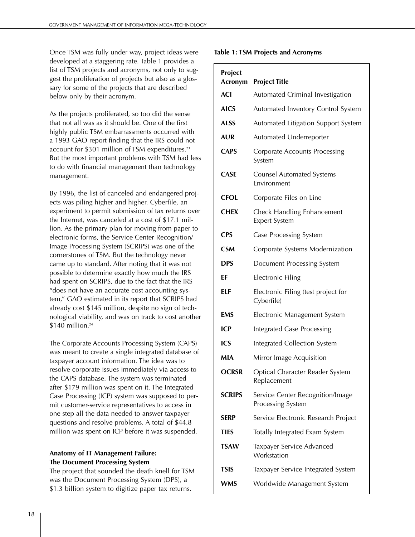Once TSM was fully under way, project ideas were developed at a staggering rate. Table 1 provides a list of TSM projects and acronyms, not only to suggest the proliferation of projects but also as a glossary for some of the projects that are described below only by their acronym.

As the projects proliferated, so too did the sense that not all was as it should be. One of the first highly public TSM embarrassments occurred with a 1993 GAO report finding that the IRS could not account for \$301 million of TSM expenditures.<sup>23</sup> But the most important problems with TSM had less to do with financial management than technology management.

By 1996, the list of canceled and endangered projects was piling higher and higher. Cyberfile, an experiment to permit submission of tax returns over the Internet, was canceled at a cost of \$17.1 million. As the primary plan for moving from paper to electronic forms, the Service Center Recognition/ Image Processing System (SCRIPS) was one of the cornerstones of TSM. But the technology never came up to standard. After noting that it was not possible to determine exactly how much the IRS had spent on SCRIPS, due to the fact that the IRS "does not have an accurate cost accounting system," GAO estimated in its report that SCRIPS had already cost \$145 million, despite no sign of technological viability, and was on track to cost another \$140 million. $24$ 

The Corporate Accounts Processing System (CAPS) was meant to create a single integrated database of taxpayer account information. The idea was to resolve corporate issues immediately via access to the CAPS database. The system was terminated after \$179 million was spent on it. The Integrated Case Processing (ICP) system was supposed to permit customer-service representatives to access in one step all the data needed to answer taxpayer questions and resolve problems. A total of \$44.8 million was spent on ICP before it was suspended.

#### **Anatomy of IT Management Failure: The Document Processing System**

The project that sounded the death knell for TSM was the Document Processing System (DPS), a \$1.3 billion system to digitize paper tax returns.

#### **Table 1: TSM Projects and Acronyms**

| Project<br>Acronym | <b>Project Title</b>                                  |  |  |
|--------------------|-------------------------------------------------------|--|--|
| <b>ACI</b>         | Automated Criminal Investigation                      |  |  |
| <b>AICS</b>        | Automated Inventory Control System                    |  |  |
| <b>ALSS</b>        | Automated Litigation Support System                   |  |  |
| AUR                | Automated Underreporter                               |  |  |
| <b>CAPS</b>        | <b>Corporate Accounts Processing</b><br>System        |  |  |
| <b>CASE</b>        | <b>Counsel Automated Systems</b><br>Environment       |  |  |
| <b>CFOL</b>        | Corporate Files on Line                               |  |  |
| <b>CHEX</b>        | Check Handling Enhancement<br><b>Expert System</b>    |  |  |
| <b>CPS</b>         | <b>Case Processing System</b>                         |  |  |
| <b>CSM</b>         | Corporate Systems Modernization                       |  |  |
| <b>DPS</b>         | Document Processing System                            |  |  |
| EF                 | <b>Electronic Filing</b>                              |  |  |
| ELF                | Electronic Filing (test project for<br>Cyberfile)     |  |  |
| <b>EMS</b>         | Electronic Management System                          |  |  |
| <b>ICP</b>         | <b>Integrated Case Processing</b>                     |  |  |
| <b>ICS</b>         | <b>Integrated Collection System</b>                   |  |  |
| MIA                | Mirror Image Acquisition                              |  |  |
| <b>OCRSR</b>       | Optical Character Reader System<br>Replacement        |  |  |
| <b>SCRIPS</b>      | Service Center Recognition/Image<br>Processing System |  |  |
| <b>SERP</b>        | Service Electronic Research Project                   |  |  |
| TIES               | Totally Integrated Exam System                        |  |  |
| <b>TSAW</b>        | Taxpayer Service Advanced<br>Workstation              |  |  |
| <b>TSIS</b>        | Taxpayer Service Integrated System                    |  |  |
| <b>WMS</b>         | Worldwide Management System                           |  |  |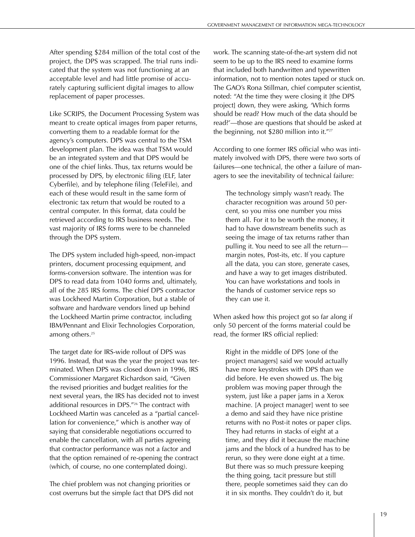After spending \$284 million of the total cost of the project, the DPS was scrapped. The trial runs indicated that the system was not functioning at an acceptable level and had little promise of accurately capturing sufficient digital images to allow replacement of paper processes.

Like SCRIPS, the Document Processing System was meant to create optical images from paper returns, converting them to a readable format for the agency's computers. DPS was central to the TSM development plan. The idea was that TSM would be an integrated system and that DPS would be one of the chief links. Thus, tax returns would be processed by DPS, by electronic filing (ELF, later Cyberfile), and by telephone filing (TeleFile), and each of these would result in the same form of electronic tax return that would be routed to a central computer. In this format, data could be retrieved according to IRS business needs. The vast majority of IRS forms were to be channeled through the DPS system.

The DPS system included high-speed, non-impact printers, document processing equipment, and forms-conversion software. The intention was for DPS to read data from 1040 forms and, ultimately, all of the 285 IRS forms. The chief DPS contractor was Lockheed Martin Corporation, but a stable of software and hardware vendors lined up behind the Lockheed Martin prime contractor, including IBM/Pennant and Elixir Technologies Corporation, among others.<sup>25</sup>

The target date for IRS-wide rollout of DPS was 1996. Instead, that was the year the project was terminated. When DPS was closed down in 1996, IRS Commissioner Margaret Richardson said, "Given the revised priorities and budget realities for the next several years, the IRS has decided not to invest additional resources in DPS."26 The contract with Lockheed Martin was canceled as a "partial cancellation for convenience," which is another way of saying that considerable negotiations occurred to enable the cancellation, with all parties agreeing that contractor performance was not a factor and that the option remained of re-opening the contract (which, of course, no one contemplated doing).

The chief problem was not changing priorities or cost overruns but the simple fact that DPS did not work. The scanning state-of-the-art system did not seem to be up to the IRS need to examine forms that included both handwritten and typewritten information, not to mention notes taped or stuck on. The GAO's Rona Stillman, chief computer scientist, noted: "At the time they were closing it [the DPS project] down, they were asking, 'Which forms should be read? How much of the data should be read?'—those are questions that should be asked at the beginning, not \$280 million into it."<sup>27</sup>

According to one former IRS official who was intimately involved with DPS, there were two sorts of failures—one technical, the other a failure of managers to see the inevitability of technical failure:

The technology simply wasn't ready. The character recognition was around 50 percent, so you miss one number you miss them all. For it to be worth the money, it had to have downstream benefits such as seeing the image of tax returns rather than pulling it. You need to see all the return margin notes, Post-its, etc. If you capture all the data, you can store, generate cases, and have a way to get images distributed. You can have workstations and tools in the hands of customer service reps so they can use it.

When asked how this project got so far along if only 50 percent of the forms material could be read, the former IRS official replied:

Right in the middle of DPS [one of the project managers] said we would actually have more keystrokes with DPS than we did before. He even showed us. The big problem was moving paper through the system, just like a paper jams in a Xerox machine. [A project manager] went to see a demo and said they have nice pristine returns with no Post-it notes or paper clips. They had returns in stacks of eight at a time, and they did it because the machine jams and the block of a hundred has to be rerun, so they were done eight at a time. But there was so much pressure keeping the thing going, tacit pressure but still there, people sometimes said they can do it in six months. They couldn't do it, but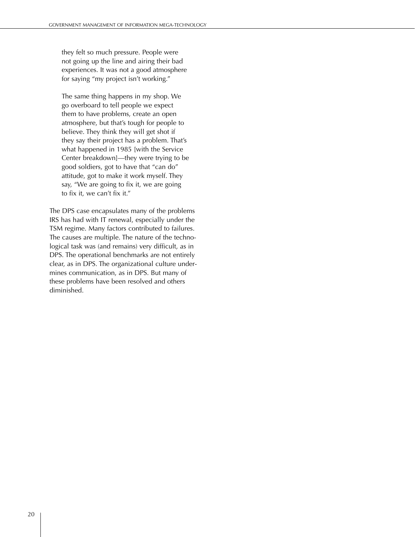they felt so much pressure. People were not going up the line and airing their bad experiences. It was not a good atmosphere for saying "my project isn't working."

The same thing happens in my shop. We go overboard to tell people we expect them to have problems, create an open atmosphere, but that's tough for people to believe. They think they will get shot if they say their project has a problem. That's what happened in 1985 [with the Service Center breakdown]—they were trying to be good soldiers, got to have that "can do" attitude, got to make it work myself. They say, "We are going to fix it, we are going to fix it, we can't fix it."

The DPS case encapsulates many of the problems IRS has had with IT renewal, especially under the TSM regime. Many factors contributed to failures. The causes are multiple. The nature of the technological task was (and remains) very difficult, as in DPS. The operational benchmarks are not entirely clear, as in DPS. The organizational culture undermines communication, as in DPS. But many of these problems have been resolved and others diminished.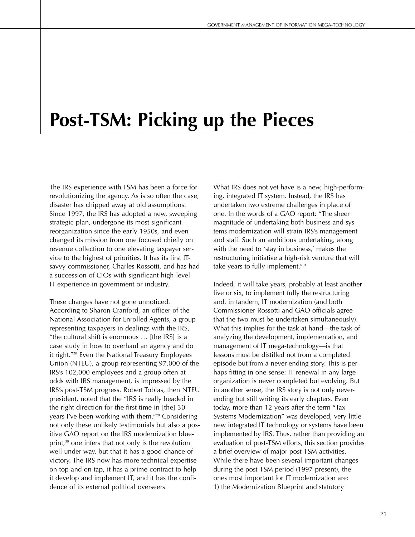# **Post-TSM: Picking up the Pieces**

The IRS experience with TSM has been a force for revolutionizing the agency. As is so often the case, disaster has chipped away at old assumptions. Since 1997, the IRS has adopted a new, sweeping strategic plan, undergone its most significant reorganization since the early 1950s, and even changed its mission from one focused chiefly on revenue collection to one elevating taxpayer service to the highest of priorities. It has its first ITsavvy commissioner, Charles Rossotti, and has had a succession of CIOs with significant high-level IT experience in government or industry.

These changes have not gone unnoticed. According to Sharon Cranford, an officer of the National Association for Enrolled Agents, a group representing taxpayers in dealings with the IRS, "the cultural shift is enormous … [the IRS] is a case study in how to overhaul an agency and do it right."28 Even the National Treasury Employees Union (NTEU), a group representing 97,000 of the IRS's 102,000 employees and a group often at odds with IRS management, is impressed by the IRS's post-TSM progress. Robert Tobias, then NTEU president, noted that the "IRS is really headed in the right direction for the first time in [the] 30 years I've been working with them."29 Considering not only these unlikely testimonials but also a positive GAO report on the IRS modernization blueprint,<sup>30</sup> one infers that not only is the revolution well under way, but that it has a good chance of victory. The IRS now has more technical expertise on top and on tap, it has a prime contract to help it develop and implement IT, and it has the confidence of its external political overseers.

What IRS does not yet have is a new, high-performing, integrated IT system. Instead, the IRS has undertaken two extreme challenges in place of one. In the words of a GAO report: "The sheer magnitude of undertaking both business and systems modernization will strain IRS's management and staff. Such an ambitious undertaking, along with the need to 'stay in business,' makes the restructuring initiative a high-risk venture that will take years to fully implement."31

Indeed, it will take years, probably at least another five or six, to implement fully the restructuring and, in tandem, IT modernization (and both Commissioner Rossotti and GAO officials agree that the two must be undertaken simultaneously). What this implies for the task at hand—the task of analyzing the development, implementation, and management of IT mega-technology—is that lessons must be distilled not from a completed episode but from a never-ending story. This is perhaps fitting in one sense: IT renewal in any large organization is never completed but evolving. But in another sense, the IRS story is not only neverending but still writing its early chapters. Even today, more than 12 years after the term "Tax Systems Modernization" was developed, very little new integrated IT technology or systems have been implemented by IRS. Thus, rather than providing an evaluation of post-TSM efforts, this section provides a brief overview of major post-TSM activities. While there have been several important changes during the post-TSM period (1997-present), the ones most important for IT modernization are: 1) the Modernization Blueprint and statutory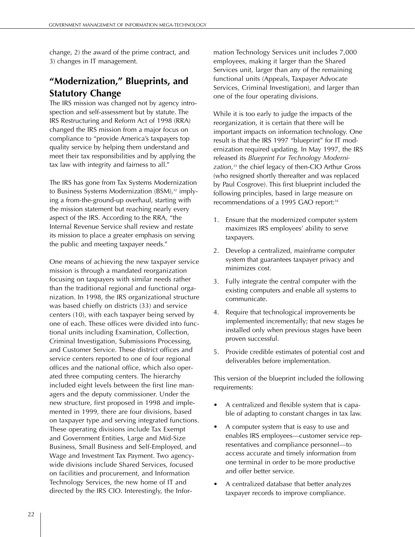change, 2) the award of the prime contract, and 3) changes in IT management.

## **"Modernization," Blueprints, and Statutory Change**

The IRS mission was changed not by agency introspection and self-assessment but by statute. The IRS Restructuring and Reform Act of 1998 (RRA) changed the IRS mission from a major focus on compliance to "provide America's taxpayers top quality service by helping them understand and meet their tax responsibilities and by applying the tax law with integrity and fairness to all."

The IRS has gone from Tax Systems Modernization to Business Systems Modernization (BSM),<sup>32</sup> implying a from-the-ground-up overhaul, starting with the mission statement but reaching nearly every aspect of the IRS. According to the RRA, "the Internal Revenue Service shall review and restate its mission to place a greater emphasis on serving the public and meeting taxpayer needs."

One means of achieving the new taxpayer service mission is through a mandated reorganization focusing on taxpayers with similar needs rather than the traditional regional and functional organization. In 1998, the IRS organizational structure was based chiefly on districts (33) and service centers (10), with each taxpayer being served by one of each. These offices were divided into functional units including Examination, Collection, Criminal Investigation, Submissions Processing, and Customer Service. These district offices and service centers reported to one of four regional offices and the national office, which also operated three computing centers. The hierarchy included eight levels between the first line managers and the deputy commissioner. Under the new structure, first proposed in 1998 and implemented in 1999, there are four divisions, based on taxpayer type and serving integrated functions. These operating divisions include Tax Exempt and Government Entities, Large and Mid-Size Business, Small Business and Self-Employed, and Wage and Investment Tax Payment. Two agencywide divisions include Shared Services, focused on facilities and procurement, and Information Technology Services, the new home of IT and directed by the IRS CIO. Interestingly, the Information Technology Services unit includes 7,000 employees, making it larger than the Shared Services unit, larger than any of the remaining functional units (Appeals, Taxpayer Advocate Services, Criminal Investigation), and larger than one of the four operating divisions.

While it is too early to judge the impacts of the reorganization, it is certain that there will be important impacts on information technology. One result is that the IRS 1997 "blueprint" for IT modernization required updating. In May 1997, the IRS released its *Blueprint For Technology Modernization,*<sup>33</sup> the chief legacy of then-CIO Arthur Gross (who resigned shortly thereafter and was replaced by Paul Cosgrove). This first blueprint included the following principles, based in large measure on recommendations of a 1995 GAO report:<sup>34</sup>

- 1. Ensure that the modernized computer system maximizes IRS employees' ability to serve taxpayers.
- 2. Develop a centralized, mainframe computer system that guarantees taxpayer privacy and minimizes cost.
- 3. Fully integrate the central computer with the existing computers and enable all systems to communicate.
- 4. Require that technological improvements be implemented incrementally; that new stages be installed only when previous stages have been proven successful.
- 5. Provide credible estimates of potential cost and deliverables before implementation.

This version of the blueprint included the following requirements:

- A centralized and flexible system that is capable of adapting to constant changes in tax law.
- A computer system that is easy to use and enables IRS employees—customer service representatives and compliance personnel—to access accurate and timely information from one terminal in order to be more productive and offer better service.
- A centralized database that better analyzes taxpayer records to improve compliance.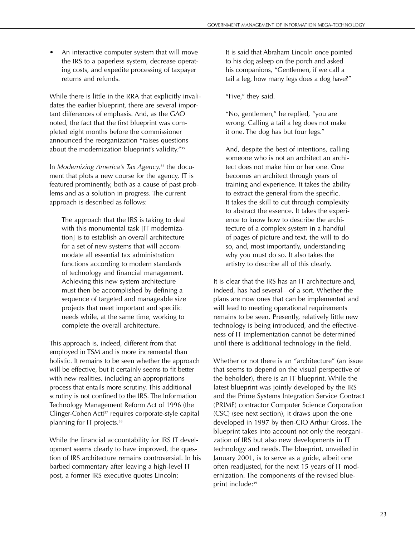• An interactive computer system that will move the IRS to a paperless system, decrease operating costs, and expedite processing of taxpayer returns and refunds.

While there is little in the RRA that explicitly invalidates the earlier blueprint, there are several important differences of emphasis. And, as the GAO noted, the fact that the first blueprint was completed eight months before the commissioner announced the reorganization "raises questions about the modernization blueprint's validity."<sup>35</sup>

In *Modernizing America's Tax Agency,*<sup>36</sup> the document that plots a new course for the agency, IT is featured prominently, both as a cause of past problems and as a solution in progress. The current approach is described as follows:

The approach that the IRS is taking to deal with this monumental task IIT modernization] is to establish an overall architecture for a set of new systems that will accommodate all essential tax administration functions according to modern standards of technology and financial management. Achieving this new system architecture must then be accomplished by defining a sequence of targeted and manageable size projects that meet important and specific needs while, at the same time, working to complete the overall architecture.

This approach is, indeed, different from that employed in TSM and is more incremental than holistic. It remains to be seen whether the approach will be effective, but it certainly seems to fit better with new realities, including an appropriations process that entails more scrutiny. This additional scrutiny is not confined to the IRS. The Information Technology Management Reform Act of 1996 (the Clinger-Cohen Act)<sup>37</sup> requires corporate-style capital planning for IT projects.38

While the financial accountability for IRS IT development seems clearly to have improved, the question of IRS architecture remains controversial. In his barbed commentary after leaving a high-level IT post, a former IRS executive quotes Lincoln:

It is said that Abraham Lincoln once pointed to his dog asleep on the porch and asked his companions, "Gentlemen, if we call a tail a leg, how many legs does a dog have?"

"Five," they said.

"No, gentlemen," he replied, "you are wrong. Calling a tail a leg does not make it one. The dog has but four legs."

And, despite the best of intentions, calling someone who is not an architect an architect does not make him or her one. One becomes an architect through years of training and experience. It takes the ability to extract the general from the specific. It takes the skill to cut through complexity to abstract the essence. It takes the experience to know how to describe the architecture of a complex system in a handful of pages of picture and text, the will to do so, and, most importantly, understanding why you must do so. It also takes the artistry to describe all of this clearly.

It is clear that the IRS has an IT architecture and, indeed, has had several—of a sort. Whether the plans are now ones that can be implemented and will lead to meeting operational requirements remains to be seen. Presently, relatively little new technology is being introduced, and the effectiveness of IT implementation cannot be determined until there is additional technology in the field.

Whether or not there is an "architecture" (an issue that seems to depend on the visual perspective of the beholder), there is an IT blueprint. While the latest blueprint was jointly developed by the IRS and the Prime Systems Integration Service Contract (PRIME) contractor Computer Science Corporation (CSC) (see next section), it draws upon the one developed in 1997 by then-CIO Arthur Gross. The blueprint takes into account not only the reorganization of IRS but also new developments in IT technology and needs. The blueprint, unveiled in January 2001, is to serve as a guide, albeit one often readjusted, for the next 15 years of IT modernization. The components of the revised blueprint include:<sup>39</sup>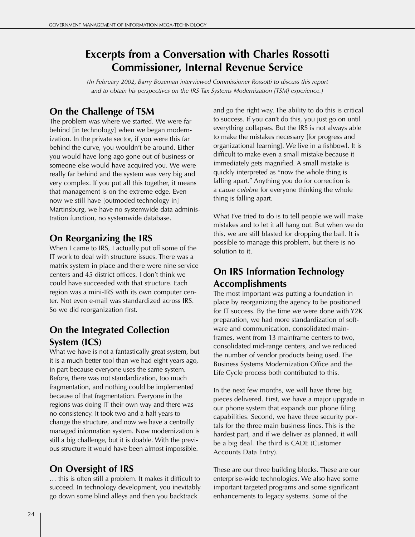# **Excerpts from a Conversation with Charles Rossotti Commissioner, Internal Revenue Service**

*(In February 2002, Barry Bozeman interviewed Commissioner Rossotti to discuss this report and to obtain his perspectives on the IRS Tax Systems Modernization [TSM] experience.)*

## **On the Challenge of TSM**

The problem was where we started. We were far behind [in technology] when we began modernization. In the private sector, if you were this far behind the curve, you wouldn't be around. Either you would have long ago gone out of business or someone else would have acquired you. We were really far behind and the system was very big and very complex. If you put all this together, it means that management is on the extreme edge. Even now we still have [outmoded technology in] Martinsburg, we have no systemwide data administration function, no systemwide database.

## **On Reorganizing the IRS**

When I came to IRS, I actually put off some of the IT work to deal with structure issues. There was a matrix system in place and there were nine service centers and 45 district offices. I don't think we could have succeeded with that structure. Each region was a mini-IRS with its own computer center. Not even e-mail was standardized across IRS. So we did reorganization first.

## **On the Integrated Collection System (ICS)**

What we have is not a fantastically great system, but it is a much better tool than we had eight years ago, in part because everyone uses the same system. Before, there was not standardization, too much fragmentation, and nothing could be implemented because of that fragmentation. Everyone in the regions was doing IT their own way and there was no consistency. It took two and a half years to change the structure, and now we have a centrally managed information system. Now modernization is still a big challenge, but it is doable. With the previous structure it would have been almost impossible.

# **On Oversight of IRS**

… this is often still a problem. It makes it difficult to succeed. In technology development, you inevitably go down some blind alleys and then you backtrack

and go the right way. The ability to do this is critical to success. If you can't do this, you just go on until everything collapses. But the IRS is not always able to make the mistakes necessary [for progress and organizational learning]. We live in a fishbowl. It is difficult to make even a small mistake because it immediately gets magnified. A small mistake is quickly interpreted as "now the whole thing is falling apart." Anything you do for correction is a *cause celebre* for everyone thinking the whole thing is falling apart.

What I've tried to do is to tell people we will make mistakes and to let it all hang out. But when we do this, we are still blasted for dropping the ball. It is possible to manage this problem, but there is no solution to it.

# **On IRS Information Technology Accomplishments**

The most important was putting a foundation in place by reorganizing the agency to be positioned for IT success. By the time we were done with Y2K preparation, we had more standardization of software and communication, consolidated mainframes, went from 13 mainframe centers to two, consolidated mid-range centers, and we reduced the number of vendor products being used. The Business Systems Modernization Office and the Life Cycle process both contributed to this.

In the next few months, we will have three big pieces delivered. First, we have a major upgrade in our phone system that expands our phone filing capabilities. Second, we have three security portals for the three main business lines. This is the hardest part, and if we deliver as planned, it will be a big deal. The third is CADE (Customer Accounts Data Entry).

These are our three building blocks. These are our enterprise-wide technologies. We also have some important targeted programs and some significant enhancements to legacy systems. Some of the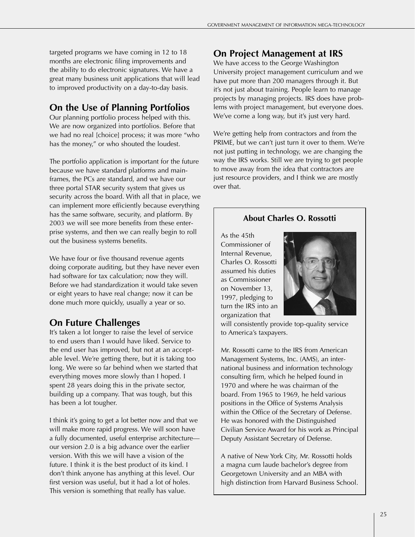targeted programs we have coming in 12 to 18 months are electronic filing improvements and the ability to do electronic signatures. We have a great many business unit applications that will lead to improved productivity on a day-to-day basis.

## **On the Use of Planning Portfolios**

Our planning portfolio process helped with this. We are now organized into portfolios. Before that we had no real [choice] process; it was more "who has the money," or who shouted the loudest.

The portfolio application is important for the future because we have standard platforms and mainframes, the PCs are standard, and we have our three portal STAR security system that gives us security across the board. With all that in place, we can implement more efficiently because everything has the same software, security, and platform. By 2003 we will see more benefits from these enterprise systems, and then we can really begin to roll out the business systems benefits.

We have four or five thousand revenue agents doing corporate auditing, but they have never even had software for tax calculation; now they will. Before we had standardization it would take seven or eight years to have real change; now it can be done much more quickly, usually a year or so.

## **On Future Challenges**

It's taken a lot longer to raise the level of service to end users than I would have liked. Service to the end user has improved, but not at an acceptable level. We're getting there, but it is taking too long. We were so far behind when we started that everything moves more slowly than I hoped. I spent 28 years doing this in the private sector, building up a company. That was tough, but this has been a lot tougher.

I think it's going to get a lot better now and that we will make more rapid progress. We will soon have a fully documented, useful enterprise architecture our version 2.0 is a big advance over the earlier version. With this we will have a vision of the future. I think it is the best product of its kind. I don't think anyone has anything at this level. Our first version was useful, but it had a lot of holes. This version is something that really has value.

## **On Project Management at IRS**

We have access to the George Washington University project management curriculum and we have put more than 200 managers through it. But it's not just about training. People learn to manage projects by managing projects. IRS does have problems with project management, but everyone does. We've come a long way, but it's just very hard.

We're getting help from contractors and from the PRIME, but we can't just turn it over to them. We're not just putting in technology, we are changing the way the IRS works. Still we are trying to get people to move away from the idea that contractors are just resource providers, and I think we are mostly over that.

### **About Charles O. Rossotti**

As the 45th Commissioner of Internal Revenue, Charles O. Rossotti assumed his duties as Commissioner on November 13, 1997, pledging to turn the IRS into an organization that



will consistently provide top-quality service to America's taxpayers.

Mr. Rossotti came to the IRS from American Management Systems, Inc. (AMS), an international business and information technology consulting firm, which he helped found in 1970 and where he was chairman of the board. From 1965 to 1969, he held various positions in the Office of Systems Analysis within the Office of the Secretary of Defense. He was honored with the Distinguished Civilian Service Award for his work as Principal Deputy Assistant Secretary of Defense.

A native of New York City, Mr. Rossotti holds a magna cum laude bachelor's degree from Georgetown University and an MBA with high distinction from Harvard Business School.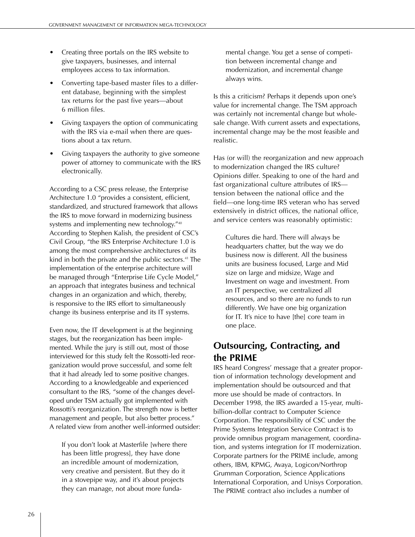- Creating three portals on the IRS website to give taxpayers, businesses, and internal employees access to tax information.
- Converting tape-based master files to a different database, beginning with the simplest tax returns for the past five years—about 6 million files.
- Giving taxpayers the option of communicating with the IRS via e-mail when there are questions about a tax return.
- Giving taxpayers the authority to give someone power of attorney to communicate with the IRS electronically.

According to a CSC press release, the Enterprise Architecture 1.0 "provides a consistent, efficient, standardized, and structured framework that allows the IRS to move forward in modernizing business systems and implementing new technology."<sup>40</sup> According to Stephen Kalish, the president of CSC's Civil Group, "the IRS Enterprise Architecture 1.0 is among the most comprehensive architectures of its kind in both the private and the public sectors.<sup>41</sup> The implementation of the enterprise architecture will be managed through "Enterprise Life Cycle Model," an approach that integrates business and technical changes in an organization and which, thereby, is responsive to the IRS effort to simultaneously change its business enterprise and its IT systems.

Even now, the IT development is at the beginning stages, but the reorganization has been implemented. While the jury is still out, most of those interviewed for this study felt the Rossotti-led reorganization would prove successful, and some felt that it had already led to some positive changes. According to a knowledgeable and experienced consultant to the IRS, "some of the changes developed under TSM actually got implemented with Rossotti's reorganization. The strength now is better management and people, but also better process." A related view from another well-informed outsider:

If you don't look at Masterfile [where there has been little progress], they have done an incredible amount of modernization, very creative and persistent. But they do it in a stovepipe way, and it's about projects they can manage, not about more fundamental change. You get a sense of competition between incremental change and modernization, and incremental change always wins.

Is this a criticism? Perhaps it depends upon one's value for incremental change. The TSM approach was certainly not incremental change but wholesale change. With current assets and expectations, incremental change may be the most feasible and realistic.

Has (or will) the reorganization and new approach to modernization changed the IRS culture? Opinions differ. Speaking to one of the hard and fast organizational culture attributes of IRS tension between the national office and the field—one long-time IRS veteran who has served extensively in district offices, the national office, and service centers was reasonably optimistic:

Cultures die hard. There will always be headquarters chatter, but the way we do business now is different. All the business units are business focused, Large and Mid size on large and midsize, Wage and Investment on wage and investment. From an IT perspective, we centralized all resources, and so there are no funds to run differently. We have one big organization for IT. It's nice to have [the] core team in one place.

## **Outsourcing, Contracting, and the PRIME**

IRS heard Congress' message that a greater proportion of information technology development and implementation should be outsourced and that more use should be made of contractors. In December 1998, the IRS awarded a 15-year, multibillion-dollar contract to Computer Science Corporation. The responsibility of CSC under the Prime Systems Integration Service Contract is to provide omnibus program management, coordination, and systems integration for IT modernization. Corporate partners for the PRIME include, among others, IBM, KPMG, Avaya, Logicon/Northrop Grumman Corporation, Science Applications International Corporation, and Unisys Corporation. The PRIME contract also includes a number of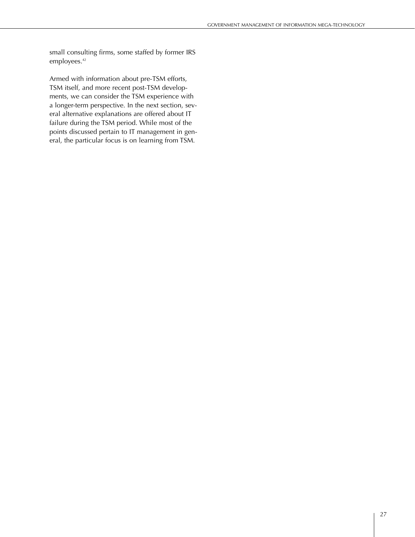small consulting firms, some staffed by former IRS employees.<sup>42</sup>

Armed with information about pre-TSM efforts, TSM itself, and more recent post-TSM developments, we can consider the TSM experience with a longer-term perspective. In the next section, several alternative explanations are offered about IT failure during the TSM period. While most of the points discussed pertain to IT management in general, the particular focus is on learning from TSM.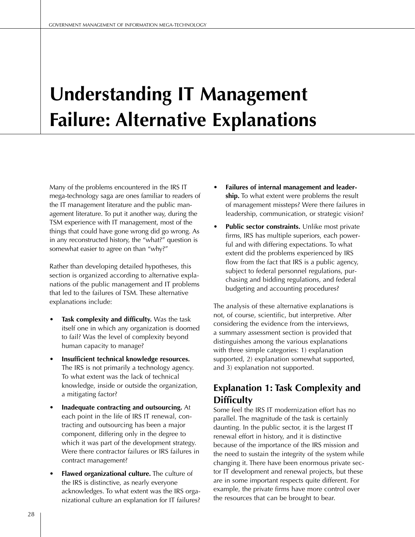# **Understanding IT Management Failure: Alternative Explanations**

Many of the problems encountered in the IRS IT mega-technology saga are ones familiar to readers of the IT management literature and the public management literature. To put it another way, during the TSM experience with IT management, most of the things that could have gone wrong did go wrong. As in any reconstructed history, the "what?" question is somewhat easier to agree on than "why?"

Rather than developing detailed hypotheses, this section is organized according to alternative explanations of the public management and IT problems that led to the failures of TSM. These alternative explanations include:

- **Task complexity and difficulty.** Was the task itself one in which any organization is doomed to fail? Was the level of complexity beyond human capacity to manage?
- **Insufficient technical knowledge resources.** The IRS is not primarily a technology agency. To what extent was the lack of technical knowledge, inside or outside the organization, a mitigating factor?
- **Inadequate contracting and outsourcing.** At each point in the life of IRS IT renewal, contracting and outsourcing has been a major component, differing only in the degree to which it was part of the development strategy. Were there contractor failures or IRS failures in contract management?
- **Flawed organizational culture.** The culture of the IRS is distinctive, as nearly everyone acknowledges. To what extent was the IRS organizational culture an explanation for IT failures?
- **Failures of internal management and leadership.** To what extent were problems the result of management missteps? Were there failures in leadership, communication, or strategic vision?
- **Public sector constraints.** Unlike most private firms, IRS has multiple superiors, each powerful and with differing expectations. To what extent did the problems experienced by IRS flow from the fact that IRS is a public agency, subject to federal personnel regulations, purchasing and bidding regulations, and federal budgeting and accounting procedures?

The analysis of these alternative explanations is not, of course, scientific, but interpretive. After considering the evidence from the interviews, a summary assessment section is provided that distinguishes among the various explanations with three simple categories: 1) explanation supported, 2) explanation somewhat supported, and 3) explanation not supported.

## **Explanation 1: Task Complexity and Difficulty**

Some feel the IRS IT modernization effort has no parallel. The magnitude of the task is certainly daunting. In the public sector, it is the largest IT renewal effort in history, and it is distinctive because of the importance of the IRS mission and the need to sustain the integrity of the system while changing it. There have been enormous private sector IT development and renewal projects, but these are in some important respects quite different. For example, the private firms have more control over the resources that can be brought to bear.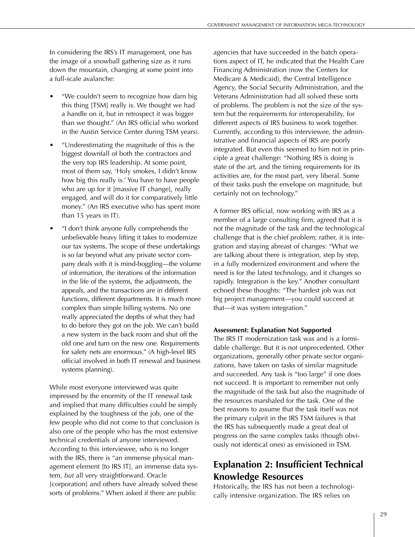In considering the IRS's IT management, one has the image of a snowball gathering size as it runs down the mountain, changing at some point into a full-scale avalanche:

- "We couldn't seem to recognize how darn big this thing [TSM] really is. We thought we had a handle on it, but in retrospect it was bigger than we thought." (An IRS official who worked in the Austin Service Center during TSM years).
- "Underestimating the magnitude of this is the biggest downfall of both the contractors and the very top IRS leadership. At some point, most of them say, 'Holy smokes, I didn't know how big this really is.' You have to have people who are up for it [massive IT change], really engaged, and will do it for comparatively little money." (An IRS executive who has spent more than 15 years in IT).
- "I don't think anyone fully comprehends the unbelievable heavy lifting it takes to modernize our tax systems. The scope of these undertakings is so far beyond what any private sector company deals with it is mind-boggling—the volume of information, the iterations of the information in the life of the systems, the adjustments, the appeals, and the transactions are in different functions, different departments. It is much more complex than simple billing systems. No one really appreciated the depths of what they had to do before they got on the job. We can't build a new system in the back room and shut off the old one and turn on the new one. Requirements for safety nets are enormous." (A high-level IRS official involved in both IT renewal and business systems planning).

While most everyone interviewed was quite impressed by the enormity of the IT renewal task and implied that many difficulties could be simply explained by the toughness of the job, one of the few people who did not come to that conclusion is also one of the people who has the most extensive technical credentials of anyone interviewed. According to this interviewee, who is no longer with the IRS, there is "an immense physical management element [to IRS IT], an immense data system, *but* all very straightforward. Oracle [corporation] and others have already solved these sorts of problems." When asked if there are public

agencies that have succeeded in the batch operations aspect of IT, he indicated that the Health Care Financing Administration (now the Centers for Medicare & Medicaid), the Central Intelligence Agency, the Social Security Administration, and the Veterans Administration had all solved these sorts of problems. The problem is not the size of the system but the requirements for interoperability, for different aspects of IRS business to work together. Currently, according to this interviewee, the administrative and financial aspects of IRS are poorly integrated. But even this seemed to him not in principle a great challenge: "Nothing IRS is doing is state of the art, and the timing requirements for its activities are, for the most part, very liberal. Some of their tasks push the envelope on magnitude, but certainly not on technology."

A former IRS official, now working with IRS as a member of a large consulting firm, agreed that it is not the magnitude of the task and the technological challenge that is the chief problem; rather, it is integration and staying abreast of changes: "What we are talking about there is integration, step by step, in a fully modernized environment and where the need is for the latest technology, and it changes so rapidly. Integration is the key." Another consultant echoed these thoughts: "The hardest job was not big project management—you could succeed at that—it was system integration."

#### **Assessment: Explanation Not Supported**

The IRS IT modernization task was and is a formidable challenge. But it is not unprecedented. Other organizations, generally other private sector organizations, have taken on tasks of similar magnitude and succeeded. Any task is "too large" if one does not succeed. It is important to remember not only the magnitude of the task but also the magnitude of the resources marshaled for the task. One of the best reasons to assume that the task itself was not the primary culprit in the IRS TSM failures is that the IRS has subsequently made a great deal of progress on the same complex tasks (though obviously not identical ones) as envisioned in TSM.

## **Explanation 2: Insufficient Technical Knowledge Resources**

Historically, the IRS has not been a technologically intensive organization. The IRS relies on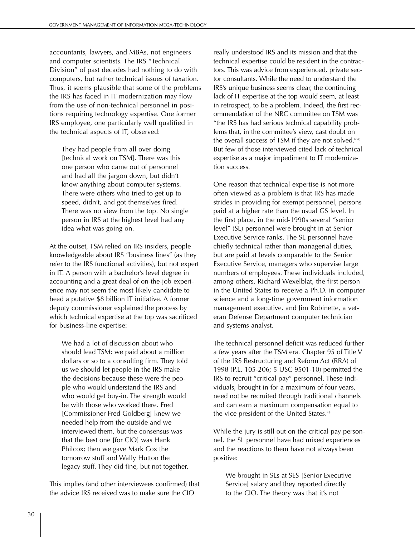accountants, lawyers, and MBAs, not engineers and computer scientists. The IRS "Technical Division" of past decades had nothing to do with computers, but rather technical issues of taxation. Thus, it seems plausible that some of the problems the IRS has faced in IT modernization may flow from the use of non-technical personnel in positions requiring technology expertise. One former IRS employee, one particularly well qualified in the technical aspects of IT, observed:

They had people from all over doing [technical work on TSM]. There was this one person who came out of personnel and had all the jargon down, but didn't know anything about computer systems. There were others who tried to get up to speed, didn't, and got themselves fired. There was no view from the top. No single person in IRS at the highest level had any idea what was going on.

At the outset, TSM relied on IRS insiders, people knowledgeable about IRS "business lines" (as they refer to the IRS functional activities), but not expert in IT. A person with a bachelor's level degree in accounting and a great deal of on-the-job experience may not seem the most likely candidate to head a putative \$8 billion IT initiative. A former deputy commissioner explained the process by which technical expertise at the top was sacrificed for business-line expertise:

We had a lot of discussion about who should lead TSM; we paid about a million dollars or so to a consulting firm. They told us we should let people in the IRS make the decisions because these were the people who would understand the IRS and who would get buy-in. The strength would be with those who worked there. Fred [Commissioner Fred Goldberg] knew we needed help from the outside and we interviewed them, but the consensus was that the best one [for CIO] was Hank Philcox; then we gave Mark Cox the tomorrow stuff and Wally Hutton the legacy stuff. They did fine, but not together.

This implies (and other interviewees confirmed) that the advice IRS received was to make sure the CIO

really understood IRS and its mission and that the technical expertise could be resident in the contractors. This was advice from experienced, private sector consultants. While the need to understand the IRS's unique business seems clear, the continuing lack of IT expertise at the top would seem, at least in retrospect, to be a problem. Indeed, the first recommendation of the NRC committee on TSM was "the IRS has had serious technical capability problems that, in the committee's view, cast doubt on the overall success of TSM if they are not solved."<sup>43</sup> But few of those interviewed cited lack of technical expertise as a major impediment to IT modernization success.

One reason that technical expertise is not more often viewed as a problem is that IRS has made strides in providing for exempt personnel, persons paid at a higher rate than the usual GS level. In the first place, in the mid-1990s several "senior level" (SL) personnel were brought in at Senior Executive Service ranks. The SL personnel have chiefly technical rather than managerial duties, but are paid at levels comparable to the Senior Executive Service, managers who supervise large numbers of employees. These individuals included, among others, Richard Wexelblat, the first person in the United States to receive a Ph.D. in computer science and a long-time government information management executive, and Jim Robinette, a veteran Defense Department computer technician and systems analyst.

The technical personnel deficit was reduced further a few years after the TSM era. Chapter 95 of Title V of the IRS Restructuring and Reform Act (RRA) of 1998 (P.L. 105-206; 5 USC 9501-10) permitted the IRS to recruit "critical pay" personnel. These individuals, brought in for a maximum of four years, need not be recruited through traditional channels and can earn a maximum compensation equal to the vice president of the United States.<sup>44</sup>

While the jury is still out on the critical pay personnel, the SL personnel have had mixed experiences and the reactions to them have not always been positive:

We brought in SLs at SES [Senior Executive Service] salary and they reported directly to the CIO. The theory was that it's not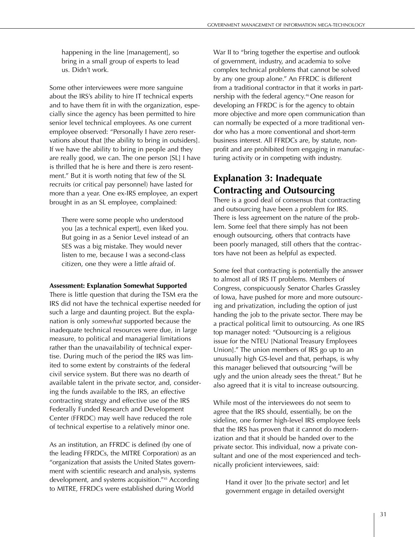happening in the line [management], so bring in a small group of experts to lead us. Didn't work.

Some other interviewees were more sanguine about the IRS's ability to hire IT technical experts and to have them fit in with the organization, especially since the agency has been permitted to hire senior level technical employees. As one current employee observed: "Personally I have zero reservations about that [the ability to bring in outsiders]. If we have the ability to bring in people and they are really good, we can. The one person [SL] I have is thrilled that he is here and there is zero resentment." But it is worth noting that few of the SL recruits (or critical pay personnel) have lasted for more than a year. One ex-IRS employee, an expert brought in as an SL employee, complained:

There were some people who understood you [as a technical expert], even liked you. But going in as a Senior Level instead of an SES was a big mistake. They would never listen to me, because I was a second-class citizen, one they were a little afraid of.

#### **Assessment: Explanation Somewhat Supported**

There is little question that during the TSM era the IRS did not have the technical expertise needed for such a large and daunting project. But the explanation is only *somewhat* supported because the inadequate technical resources were due, in large measure, to political and managerial limitations rather than the unavailability of technical expertise. During much of the period the IRS was limited to some extent by constraints of the federal civil service system. But there was no dearth of available talent in the private sector, and, considering the funds available to the IRS, an effective contracting strategy and effective use of the IRS Federally Funded Research and Development Center (FFRDC) may well have reduced the role of technical expertise to a relatively minor one.

As an institution, an FFRDC is defined (by one of the leading FFRDCs, the MITRE Corporation) as an "organization that assists the United States government with scientific research and analysis, systems development, and systems acquisition."45 According to MITRE, FFRDCs were established during World

War II to "bring together the expertise and outlook of government, industry, and academia to solve complex technical problems that cannot be solved by any one group alone." An FFRDC is different from a traditional contractor in that it works in partnership with the federal agency.<sup>46</sup> One reason for developing an FFRDC is for the agency to obtain more objective and more open communication than can normally be expected of a more traditional vendor who has a more conventional and short-term business interest. All FFRDCs are, by statute, nonprofit and are prohibited from engaging in manufacturing activity or in competing with industry.

## **Explanation 3: Inadequate Contracting and Outsourcing**

There is a good deal of consensus that contracting and outsourcing have been a problem for IRS. There is less agreement on the nature of the problem. Some feel that there simply has not been enough outsourcing, others that contracts have been poorly managed, still others that the contractors have not been as helpful as expected.

Some feel that contracting is potentially the answer to almost all of IRS IT problems. Members of Congress, conspicuously Senator Charles Grassley of Iowa, have pushed for more and more outsourcing and privatization, including the option of just handing the job to the private sector. There may be a practical political limit to outsourcing. As one IRS top manager noted: "Outsourcing is a religious issue for the NTEU [National Treasury Employees Union]." The union members of IRS go up to an unusually high GS-level and that, perhaps, is why this manager believed that outsourcing "will be ugly and the union already sees the threat." But he also agreed that it is vital to increase outsourcing.

While most of the interviewees do not seem to agree that the IRS should, essentially, be on the sideline, one former high-level IRS employee feels that the IRS has proven that it cannot do modernization and that it should be handed over to the private sector. This individual, now a private consultant and one of the most experienced and technically proficient interviewees, said:

Hand it over [to the private sector] and let government engage in detailed oversight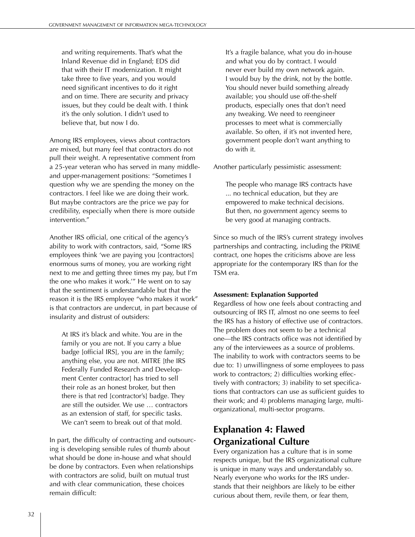and writing requirements. That's what the Inland Revenue did in England; EDS did that with their IT modernization. It might take three to five years, and you would need significant incentives to do it right and on time. There are security and privacy issues, but they could be dealt with. I think it's the only solution. I didn't used to believe that, but now I do.

Among IRS employees, views about contractors are mixed, but many feel that contractors do not pull their weight. A representative comment from a 25-year veteran who has served in many middleand upper-management positions: "Sometimes I question why we are spending the money on the contractors. I feel like we are doing their work. But maybe contractors are the price we pay for credibility, especially when there is more outside intervention."

Another IRS official, one critical of the agency's ability to work with contractors, said, "Some IRS employees think 'we are paying you [contractors] enormous sums of money, you are working right next to me and getting three times my pay, but I'm the one who makes it work.'" He went on to say that the sentiment is understandable but that the reason it is the IRS employee "who makes it work" is that contractors are undercut, in part because of insularity and distrust of outsiders:

At IRS it's black and white. You are in the family or you are not. If you carry a blue badge [official IRS], you are in the family; anything else, you are not. MITRE [the IRS Federally Funded Research and Development Center contractor] has tried to sell their role as an honest broker, but then there is that red [contractor's] badge. They are still the outsider. We use … contractors as an extension of staff, for specific tasks. We can't seem to break out of that mold.

In part, the difficulty of contracting and outsourcing is developing sensible rules of thumb about what should be done in-house and what should be done by contractors. Even when relationships with contractors are solid, built on mutual trust and with clear communication, these choices remain difficult:

It's a fragile balance, what you do in-house and what you do by contract. I would never ever build my own network again. I would buy by the drink, not by the bottle. You should never build something already available; you should use off-the-shelf products, especially ones that don't need any tweaking. We need to reengineer processes to meet what is commercially available. So often, if it's not invented here, government people don't want anything to do with it.

Another particularly pessimistic assessment:

The people who manage IRS contracts have ... no technical education, but they are empowered to make technical decisions. But then, no government agency seems to be very good at managing contracts.

Since so much of the IRS's current strategy involves partnerships and contracting, including the PRIME contract, one hopes the criticisms above are less appropriate for the contemporary IRS than for the TSM era.

#### **Assessment: Explanation Supported**

Regardless of how one feels about contracting and outsourcing of IRS IT, almost no one seems to feel the IRS has a history of effective use of contractors. The problem does not seem to be a technical one—the IRS contracts office was not identified by any of the interviewees as a source of problems. The inability to work with contractors seems to be due to: 1) unwillingness of some employees to pass work to contractors; 2) difficulties working effectively with contractors; 3) inability to set specifications that contractors can use as sufficient guides to their work; and 4) problems managing large, multiorganizational, multi-sector programs.

## **Explanation 4: Flawed Organizational Culture**

Every organization has a culture that is in some respects unique, but the IRS organizational culture is unique in many ways and understandably so. Nearly everyone who works for the IRS understands that their neighbors are likely to be either curious about them, revile them, or fear them,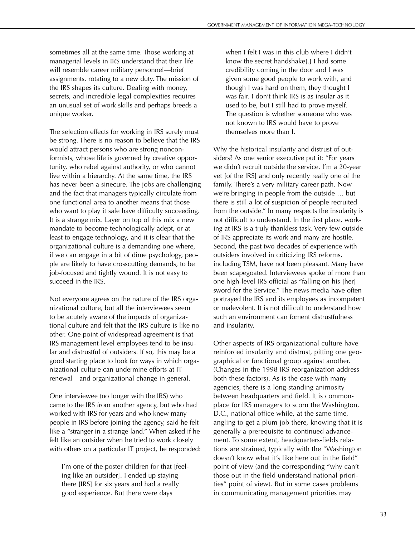sometimes all at the same time. Those working at managerial levels in IRS understand that their life will resemble career military personnel—brief assignments, rotating to a new duty. The mission of the IRS shapes its culture. Dealing with money, secrets, and incredible legal complexities requires an unusual set of work skills and perhaps breeds a unique worker.

The selection effects for working in IRS surely must be strong. There is no reason to believe that the IRS would attract persons who are strong nonconformists, whose life is governed by creative opportunity, who rebel against authority, or who cannot live within a hierarchy. At the same time, the IRS has never been a sinecure. The jobs are challenging and the fact that managers typically circulate from one functional area to another means that those who want to play it safe have difficulty succeeding. It is a strange mix. Layer on top of this mix a new mandate to become technologically adept, or at least to engage technology, and it is clear that the organizational culture is a demanding one where, if we can engage in a bit of dime psychology, people are likely to have crosscutting demands, to be job-focused and tightly wound. It is not easy to succeed in the IRS.

Not everyone agrees on the nature of the IRS organizational culture, but all the interviewees seem to be acutely aware of the impacts of organizational culture and felt that the IRS culture is like no other. One point of widespread agreement is that IRS management-level employees tend to be insular and distrustful of outsiders. If so, this may be a good starting place to look for ways in which organizational culture can undermine efforts at IT renewal—and organizational change in general.

One interviewee (no longer with the IRS) who came to the IRS from another agency, but who had worked with IRS for years and who knew many people in IRS before joining the agency, said he felt like a "stranger in a strange land." When asked if he felt like an outsider when he tried to work closely with others on a particular IT project, he responded:

I'm one of the poster children for that [feeling like an outsider]. I ended up staying there [IRS] for six years and had a really good experience. But there were days

when I felt I was in this club where I didn't know the secret handshake[.] I had some credibility coming in the door and I was given some good people to work with, and though I was hard on them, they thought I was fair. I don't think IRS is as insular as it used to be, but I still had to prove myself. The question is whether someone who was not known to IRS would have to prove themselves more than I.

Why the historical insularity and distrust of outsiders? As one senior executive put it: "For years we didn't recruit outside the service. I'm a 20-year vet [of the IRS] and only recently really one of the family. There's a very military career path. Now we're bringing in people from the outside … but there is still a lot of suspicion of people recruited from the outside." In many respects the insularity is not difficult to understand. In the first place, working at IRS is a truly thankless task. Very few outside of IRS appreciate its work and many are hostile. Second, the past two decades of experience with outsiders involved in criticizing IRS reforms, including TSM, have not been pleasant. Many have been scapegoated. Interviewees spoke of more than one high-level IRS official as "falling on his [her] sword for the Service." The news media have often portrayed the IRS and its employees as incompetent or malevolent. It is not difficult to understand how such an environment can foment distrustfulness and insularity.

Other aspects of IRS organizational culture have reinforced insularity and distrust, pitting one geographical or functional group against another. (Changes in the 1998 IRS reorganization address both these factors). As is the case with many agencies, there is a long-standing animosity between headquarters and field. It is commonplace for IRS managers to scorn the Washington, D.C., national office while, at the same time, angling to get a plum job there, knowing that it is generally a prerequisite to continued advancement. To some extent, headquarters-fields relations are strained, typically with the "Washington doesn't know what it's like here out in the field" point of view (and the corresponding "why can't those out in the field understand national priorities" point of view). But in some cases problems in communicating management priorities may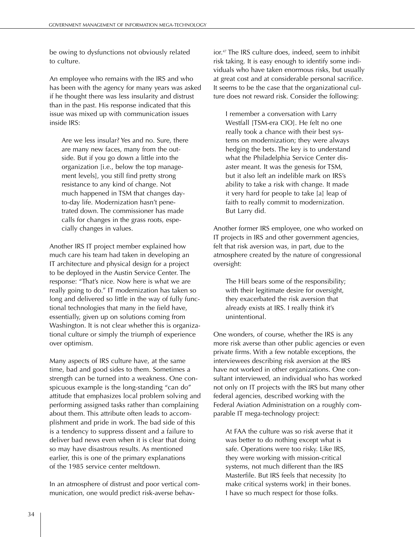be owing to dysfunctions not obviously related to culture.

An employee who remains with the IRS and who has been with the agency for many years was asked if he thought there was less insularity and distrust than in the past. His response indicated that this issue was mixed up with communication issues inside IRS:

Are we less insular? Yes and no. Sure, there are many new faces, many from the outside. But if you go down a little into the organization [i.e., below the top management levels], you still find pretty strong resistance to any kind of change. Not much happened in TSM that changes dayto-day life. Modernization hasn't penetrated down. The commissioner has made calls for changes in the grass roots, especially changes in values.

Another IRS IT project member explained how much care his team had taken in developing an IT architecture and physical design for a project to be deployed in the Austin Service Center. The response: "That's nice. Now here is what we are really going to do." IT modernization has taken so long and delivered so little in the way of fully functional technologies that many in the field have, essentially, given up on solutions coming from Washington. It is not clear whether this is organizational culture or simply the triumph of experience over optimism.

Many aspects of IRS culture have, at the same time, bad and good sides to them. Sometimes a strength can be turned into a weakness. One conspicuous example is the long-standing "can do" attitude that emphasizes local problem solving and performing assigned tasks rather than complaining about them. This attribute often leads to accomplishment and pride in work. The bad side of this is a tendency to suppress dissent and a failure to deliver bad news even when it is clear that doing so may have disastrous results. As mentioned earlier, this is one of the primary explanations of the 1985 service center meltdown.

In an atmosphere of distrust and poor vertical communication, one would predict risk-averse behavior.47 The IRS culture does, indeed, seem to inhibit risk taking. It is easy enough to identify some individuals who have taken enormous risks, but usually at great cost and at considerable personal sacrifice. It seems to be the case that the organizational culture does not reward risk. Consider the following:

I remember a conversation with Larry Westfall [TSM-era CIO]. He felt no one really took a chance with their best systems on modernization; they were always hedging the bets. The key is to understand what the Philadelphia Service Center disaster meant. It was the genesis for TSM, but it also left an indelible mark on IRS's ability to take a risk with change. It made it very hard for people to take [a] leap of faith to really commit to modernization. But Larry did.

Another former IRS employee, one who worked on IT projects in IRS and other government agencies, felt that risk aversion was, in part, due to the atmosphere created by the nature of congressional oversight:

The Hill bears some of the responsibility; with their legitimate desire for oversight, they exacerbated the risk aversion that already exists at IRS. I really think it's unintentional.

One wonders, of course, whether the IRS is any more risk averse than other public agencies or even private firms. With a few notable exceptions, the interviewees describing risk aversion at the IRS have not worked in other organizations. One consultant interviewed, an individual who has worked not only on IT projects with the IRS but many other federal agencies, described working with the Federal Aviation Administration on a roughly comparable IT mega-technology project:

At FAA the culture was so risk averse that it was better to do nothing except what is safe. Operations were too risky. Like IRS, they were working with mission-critical systems, not much different than the IRS Masterfile. But IRS feels that necessity [to make critical systems work] in their bones. I have so much respect for those folks.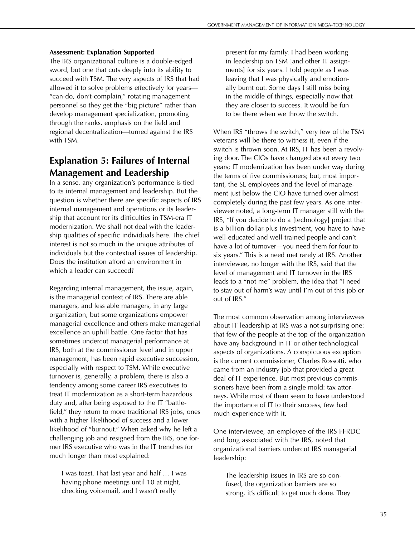#### **Assessment: Explanation Supported**

The IRS organizational culture is a double-edged sword, but one that cuts deeply into its ability to succeed with TSM. The very aspects of IRS that had allowed it to solve problems effectively for years— "can-do, don't-complain," rotating management personnel so they get the "big picture" rather than develop management specialization, promoting through the ranks, emphasis on the field and regional decentralization—turned against the IRS with TSM.

## **Explanation 5: Failures of Internal Management and Leadership**

In a sense, any organization's performance is tied to its internal management and leadership. But the question is whether there are specific aspects of IRS internal management and operations or its leadership that account for its difficulties in TSM-era IT modernization. We shall not deal with the leadership qualities of specific individuals here. The chief interest is not so much in the unique attributes of individuals but the contextual issues of leadership. Does the institution afford an environment in which a leader can succeed?

Regarding internal management, the issue, again, is the managerial context of IRS. There are able managers, and less able managers, in any large organization, but some organizations empower managerial excellence and others make managerial excellence an uphill battle. One factor that has sometimes undercut managerial performance at IRS, both at the commissioner level and in upper management, has been rapid executive succession, especially with respect to TSM. While executive turnover is, generally, a problem, there is also a tendency among some career IRS executives to treat IT modernization as a short-term hazardous duty and, after being exposed to the IT "battlefield," they return to more traditional IRS jobs, ones with a higher likelihood of success and a lower likelihood of "burnout." When asked why he left a challenging job and resigned from the IRS, one former IRS executive who was in the IT trenches for much longer than most explained:

I was toast. That last year and half … I was having phone meetings until 10 at night, checking voicemail, and I wasn't really

present for my family. I had been working in leadership on TSM [and other IT assignments] for six years. I told people as I was leaving that I was physically and emotionally burnt out. Some days I still miss being in the middle of things, especially now that they are closer to success. It would be fun to be there when we throw the switch.

When IRS "throws the switch," very few of the TSM veterans will be there to witness it, even if the switch is thrown soon. At IRS, IT has been a revolving door. The CIOs have changed about every two years; IT modernization has been under way during the terms of five commissioners; but, most important, the SL employees and the level of management just below the CIO have turned over almost completely during the past few years. As one interviewee noted, a long-term IT manager still with the IRS, "If you decide to do a [technology] project that is a billion-dollar-plus investment, you have to have well-educated and well-trained people and can't have a lot of turnover—you need them for four to six years." This is a need met rarely at IRS. Another interviewee, no longer with the IRS, said that the level of management and IT turnover in the IRS leads to a "not me" problem, the idea that "I need to stay out of harm's way until I'm out of this job or out of IRS."

The most common observation among interviewees about IT leadership at IRS was a not surprising one: that few of the people at the top of the organization have any background in IT or other technological aspects of organizations. A conspicuous exception is the current commissioner, Charles Rossotti, who came from an industry job that provided a great deal of IT experience. But most previous commissioners have been from a single mold: tax attorneys. While most of them seem to have understood the importance of IT to their success, few had much experience with it.

One interviewee, an employee of the IRS FFRDC and long associated with the IRS, noted that organizational barriers undercut IRS managerial leadership:

The leadership issues in IRS are so confused, the organization barriers are so strong, it's difficult to get much done. They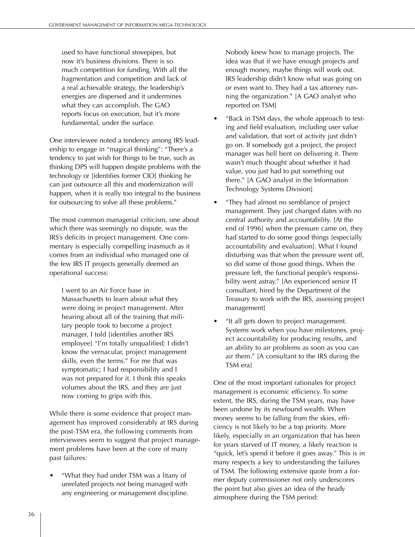used to have functional stovepipes, but now it's business divisions. There is so much competition for funding. With all the fragmentation and competition and lack of a real achievable strategy, the leadership's energies are dispersed and it undermines what they can accomplish. The GAO reports focus on execution, but it's more fundamental, under the surface.

One interviewee noted a tendency among IRS leadership to engage in "magical thinking": "There's a tendency to just wish for things to be true, such as thinking DPS will happen despite problems with the technology or [identifies former CIO] thinking he can just outsource all this and modernization will happen, when it is really too integral to the business for outsourcing to solve all these problems."

The most common managerial criticism, one about which there was seemingly no dispute, was the IRS's deficits in project management. One commentary is especially compelling inasmuch as it comes from an individual who managed one of the few IRS IT projects generally deemed an operational success:

I went to an Air Force base in Massachusetts to learn about what they were doing in project management. After hearing about all of the training that military people took to become a project manager, I told [identifies another IRS employee] "I'm totally unqualified; I didn't know the vernacular, project management skills, even the terms." For me that was symptomatic; I had responsibility and I was not prepared for it. I think this speaks volumes about the IRS, and they are just now coming to grips with this.

While there is some evidence that project management has improved considerably at IRS during the post-TSM era, the following comments from interviewees seem to suggest that project management problems have been at the core of many past failures:

• "What they had under TSM was a litany of unrelated projects not being managed with any engineering or management discipline. Nobody knew how to manage projects. The idea was that if we have enough projects and enough money, maybe things will work out. IRS leadership didn't know what was going on or even want to. They had a tax attorney running the organization." [A GAO analyst who reported on TSM]

- "Back in TSM days, the whole approach to testing and field evaluation, including user value and validation, that sort of activity just didn't go on. If somebody got a project, the project manager was hell bent on delivering it. There wasn't much thought about whether it had value, you just had to put something out there." [A GAO analyst in the Information Technology Systems Division]
- "They had almost no semblance of project management. They just changed dates with no central authority and accountability. [At the end of 1996] when the pressure came on, they had started to do some good things [especially accountability and evaluation]. What I found disturbing was that when the pressure went off, so did some of those good things. When the pressure left, the functional people's responsibility went astray." [An experienced senior IT consultant, hired by the Department of the Treasury to work with the IRS, assessing project management]
- "It all gets down to project management. Systems work when you have milestones, project accountability for producing results, and an ability to air problems as soon as you can air them." [A consultant to the IRS during the TSM era]

One of the most important rationales for project management is economic efficiency. To some extent, the IRS, during the TSM years, may have been undone by its newfound wealth. When money seems to be falling from the skies, efficiency is not likely to be a top priority. More likely, especially in an organization that has been for years starved of IT money, a likely reaction is "quick, let's spend it before it goes away." This is in many respects a key to understanding the failures of TSM. The following extensive quote from a former deputy commissioner not only underscores the point but also gives an idea of the heady atmosphere during the TSM period: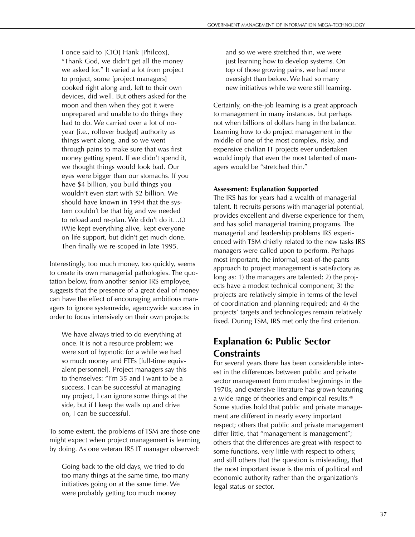I once said to [CIO] Hank [Philcox], "Thank God, we didn't get all the money we asked for." It varied a lot from project to project, some [project managers] cooked right along and, left to their own devices, did well. But others asked for the moon and then when they got it were unprepared and unable to do things they had to do. We carried over a lot of noyear [i.e., rollover budget] authority as things went along, and so we went through pains to make sure that was first money getting spent. If we didn't spend it, we thought things would look bad. Our eyes were bigger than our stomachs. If you have \$4 billion, you build things you wouldn't even start with \$2 billion. We should have known in 1994 that the system couldn't be that big and we needed to reload and re-plan. We didn't do it…(.) (W)e kept everything alive, kept everyone on life support, but didn't get much done. Then finally we re-scoped in late 1995.

Interestingly, too much money, too quickly, seems to create its own managerial pathologies. The quotation below, from another senior IRS employee, suggests that the presence of a great deal of money can have the effect of encouraging ambitious managers to ignore systemwide, agencywide success in order to focus intensively on their own projects:

We have always tried to do everything at once. It is not a resource problem; we were sort of hypnotic for a while we had so much money and FTEs [full-time equivalent personnel]. Project managers say this to themselves: "I'm 35 and I want to be a success. I can be successful at managing my project, I can ignore some things at the side, but if I keep the walls up and drive on, I can be successful.

To some extent, the problems of TSM are those one might expect when project management is learning by doing. As one veteran IRS IT manager observed:

Going back to the old days, we tried to do too many things at the same time, too many initiatives going on at the same time. We were probably getting too much money

and so we were stretched thin, we were just learning how to develop systems. On top of those growing pains, we had more oversight than before. We had so many new initiatives while we were still learning.

Certainly, on-the-job learning is a great approach to management in many instances, but perhaps not when billions of dollars hang in the balance. Learning how to do project management in the middle of one of the most complex, risky, and expensive civilian IT projects ever undertaken would imply that even the most talented of managers would be "stretched thin."

#### **Assessment: Explanation Supported**

The IRS has for years had a wealth of managerial talent. It recruits persons with managerial potential, provides excellent and diverse experience for them, and has solid managerial training programs. The managerial and leadership problems IRS experienced with TSM chiefly related to the new tasks IRS managers were called upon to perform. Perhaps most important, the informal, seat-of-the-pants approach to project management is satisfactory as long as: 1) the managers are talented; 2) the projects have a modest technical component; 3) the projects are relatively simple in terms of the level of coordination and planning required; and 4) the projects' targets and technologies remain relatively fixed. During TSM, IRS met only the first criterion.

# **Explanation 6: Public Sector Constraints**

For several years there has been considerable interest in the differences between public and private sector management from modest beginnings in the 1970s, and extensive literature has grown featuring a wide range of theories and empirical results.<sup>48</sup> Some studies hold that public and private management are different in nearly every important respect; others that public and private management differ little, that "management is management"; others that the differences are great with respect to some functions, very little with respect to others; and still others that the question is misleading, that the most important issue is the mix of political and economic authority rather than the organization's legal status or sector.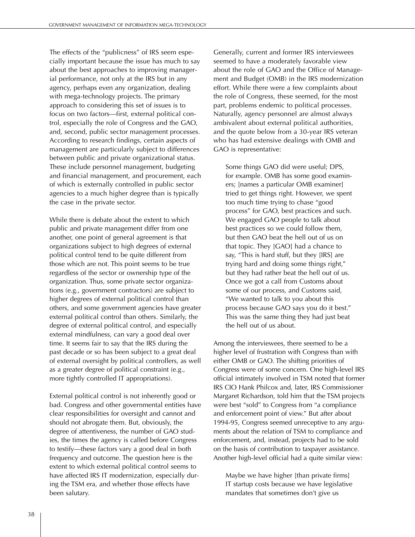The effects of the "publicness" of IRS seem especially important because the issue has much to say about the best approaches to improving managerial performance, not only at the IRS but in any agency, perhaps even any organization, dealing with mega-technology projects. The primary approach to considering this set of issues is to focus on two factors—first, external political control, especially the role of Congress and the GAO, and, second, public sector management processes. According to research findings, certain aspects of management are particularly subject to differences between public and private organizational status. These include personnel management, budgeting and financial management, and procurement, each of which is externally controlled in public sector agencies to a much higher degree than is typically the case in the private sector.

While there is debate about the extent to which public and private management differ from one another, one point of general agreement is that organizations subject to high degrees of external political control tend to be quite different from those which are not. This point seems to be true regardless of the sector or ownership type of the organization. Thus, some private sector organizations (e.g., government contractors) are subject to higher degrees of external political control than others, and some government agencies have greater external political control than others. Similarly, the degree of external political control, and especially external mindfulness, can vary a good deal over time. It seems fair to say that the IRS during the past decade or so has been subject to a great deal of external oversight by political controllers, as well as a greater degree of political constraint (e.g., more tightly controlled IT appropriations).

External political control is not inherently good or bad. Congress and other governmental entities have clear responsibilities for oversight and cannot and should not abrogate them. But, obviously, the degree of attentiveness, the number of GAO studies, the times the agency is called before Congress to testify—these factors vary a good deal in both frequency and outcome. The question here is the extent to which external political control seems to have affected IRS IT modernization, especially during the TSM era, and whether those effects have been salutary.

Generally, current and former IRS interviewees seemed to have a moderately favorable view about the role of GAO and the Office of Management and Budget (OMB) in the IRS modernization effort. While there were a few complaints about the role of Congress, these seemed, for the most part, problems endemic to political processes. Naturally, agency personnel are almost always ambivalent about external political authorities, and the quote below from a 30-year IRS veteran who has had extensive dealings with OMB and GAO is representative:

Some things GAO did were useful; DPS, for example. OMB has some good examiners; [names a particular OMB examiner] tried to get things right. However, we spent too much time trying to chase "good process" for GAO, best practices and such. We engaged GAO people to talk about best practices so we could follow them, but then GAO beat the hell out of us on that topic. They [GAO] had a chance to say, "This is hard stuff, but they [IRS] are trying hard and doing some things right," but they had rather beat the hell out of us. Once we got a call from Customs about some of our process, and Customs said, "We wanted to talk to you about this process because GAO says you do it best." This was the same thing they had just beat the hell out of us about.

Among the interviewees, there seemed to be a higher level of frustration with Congress than with either OMB or GAO. The shifting priorities of Congress were of some concern. One high-level IRS official intimately involved in TSM noted that former IRS CIO Hank Philcox and, later, IRS Commissioner Margaret Richardson, told him that the TSM projects were best "sold" to Congress from "a compliance and enforcement point of view." But after about 1994-95, Congress seemed unreceptive to any arguments about the relation of TSM to compliance and enforcement, and, instead, projects had to be sold on the basis of contribution to taxpayer assistance. Another high-level official had a quite similar view:

Maybe we have higher [than private firms] IT startup costs because we have legislative mandates that sometimes don't give us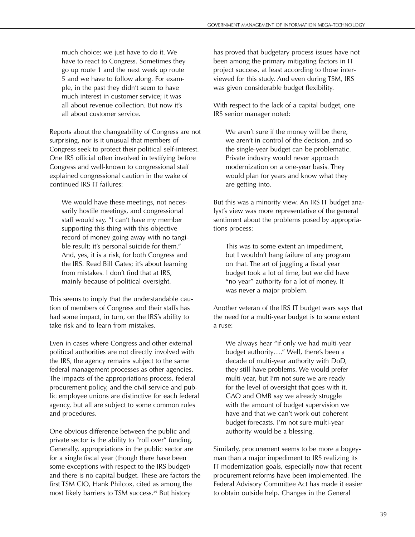much choice; we just have to do it. We have to react to Congress. Sometimes they go up route 1 and the next week up route 5 and we have to follow along. For example, in the past they didn't seem to have much interest in customer service; it was all about revenue collection. But now it's all about customer service.

Reports about the changeability of Congress are not surprising, nor is it unusual that members of Congress seek to protect their political self-interest. One IRS official often involved in testifying before Congress and well-known to congressional staff explained congressional caution in the wake of continued IRS IT failures:

We would have these meetings, not necessarily hostile meetings, and congressional staff would say, "I can't have my member supporting this thing with this objective record of money going away with no tangible result; it's personal suicide for them." And, yes, it is a risk, for both Congress and the IRS. Read Bill Gates; it's about learning from mistakes. I don't find that at IRS, mainly because of political oversight.

This seems to imply that the understandable caution of members of Congress and their staffs has had some impact, in turn, on the IRS's ability to take risk and to learn from mistakes.

Even in cases where Congress and other external political authorities are not directly involved with the IRS, the agency remains subject to the same federal management processes as other agencies. The impacts of the appropriations process, federal procurement policy, and the civil service and public employee unions are distinctive for each federal agency, but all are subject to some common rules and procedures.

One obvious difference between the public and private sector is the ability to "roll over" funding. Generally, appropriations in the public sector are for a single fiscal year (though there have been some exceptions with respect to the IRS budget) and there is no capital budget. These are factors the first TSM CIO, Hank Philcox, cited as among the most likely barriers to TSM success.<sup>49</sup> But history

has proved that budgetary process issues have not been among the primary mitigating factors in IT project success, at least according to those interviewed for this study. And even during TSM, IRS was given considerable budget flexibility.

With respect to the lack of a capital budget, one IRS senior manager noted:

We aren't sure if the money will be there, we aren't in control of the decision, and so the single-year budget can be problematic. Private industry would never approach modernization on a one-year basis. They would plan for years and know what they are getting into.

But this was a minority view. An IRS IT budget analyst's view was more representative of the general sentiment about the problems posed by appropriations process:

This was to some extent an impediment, but I wouldn't hang failure of any program on that. The art of juggling a fiscal year budget took a lot of time, but we did have "no year" authority for a lot of money. It was never a major problem.

Another veteran of the IRS IT budget wars says that the need for a multi-year budget is to some extent a ruse:

We always hear "if only we had multi-year budget authority…." Well, there's been a decade of multi-year authority with DoD, they still have problems. We would prefer multi-year, but I'm not sure we are ready for the level of oversight that goes with it. GAO and OMB say we already struggle with the amount of budget supervision we have and that we can't work out coherent budget forecasts. I'm not sure multi-year authority would be a blessing.

Similarly, procurement seems to be more a bogeyman than a major impediment to IRS realizing its IT modernization goals, especially now that recent procurement reforms have been implemented. The Federal Advisory Committee Act has made it easier to obtain outside help. Changes in the General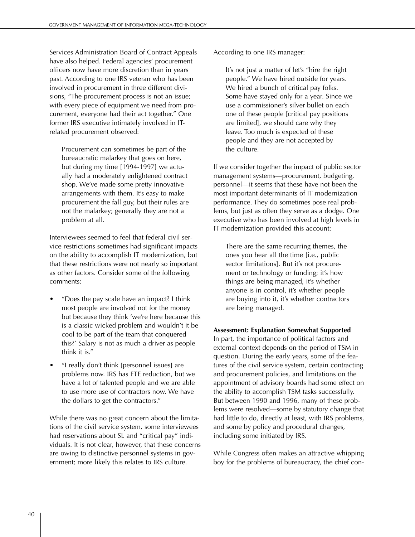Services Administration Board of Contract Appeals have also helped. Federal agencies' procurement officers now have more discretion than in years past. According to one IRS veteran who has been involved in procurement in three different divisions, "The procurement process is not an issue; with every piece of equipment we need from procurement, everyone had their act together." One former IRS executive intimately involved in ITrelated procurement observed:

Procurement can sometimes be part of the bureaucratic malarkey that goes on here, but during my time [1994-1997] we actually had a moderately enlightened contract shop. We've made some pretty innovative arrangements with them. It's easy to make procurement the fall guy, but their rules are not the malarkey; generally they are not a problem at all.

Interviewees seemed to feel that federal civil service restrictions sometimes had significant impacts on the ability to accomplish IT modernization, but that these restrictions were not nearly so important as other factors. Consider some of the following comments:

- "Does the pay scale have an impact? I think most people are involved not for the money but because they think 'we're here because this is a classic wicked problem and wouldn't it be cool to be part of the team that conquered this?' Salary is not as much a driver as people think it is."
- "I really don't think [personnel issues] are problems now. IRS has FTE reduction, but we have a lot of talented people and we are able to use more use of contractors now. We have the dollars to get the contractors."

While there was no great concern about the limitations of the civil service system, some interviewees had reservations about SL and "critical pay" individuals. It is not clear, however, that these concerns are owing to distinctive personnel systems in government; more likely this relates to IRS culture.

According to one IRS manager:

It's not just a matter of let's "hire the right people." We have hired outside for years. We hired a bunch of critical pay folks. Some have stayed only for a year. Since we use a commissioner's silver bullet on each one of these people [critical pay positions are limited], we should care why they leave. Too much is expected of these people and they are not accepted by the culture.

If we consider together the impact of public sector management systems—procurement, budgeting, personnel—it seems that these have not been the most important determinants of IT modernization performance. They do sometimes pose real problems, but just as often they serve as a dodge. One executive who has been involved at high levels in IT modernization provided this account:

There are the same recurring themes, the ones you hear all the time [i.e., public sector limitations]. But it's not procurement or technology or funding; it's how things are being managed, it's whether anyone is in control, it's whether people are buying into it, it's whether contractors are being managed.

#### **Assessment: Explanation Somewhat Supported**

In part, the importance of political factors and external context depends on the period of TSM in question. During the early years, some of the features of the civil service system, certain contracting and procurement policies, and limitations on the appointment of advisory boards had some effect on the ability to accomplish TSM tasks successfully. But between 1990 and 1996, many of these problems were resolved—some by statutory change that had little to do, directly at least, with IRS problems, and some by policy and procedural changes, including some initiated by IRS.

While Congress often makes an attractive whipping boy for the problems of bureaucracy, the chief con-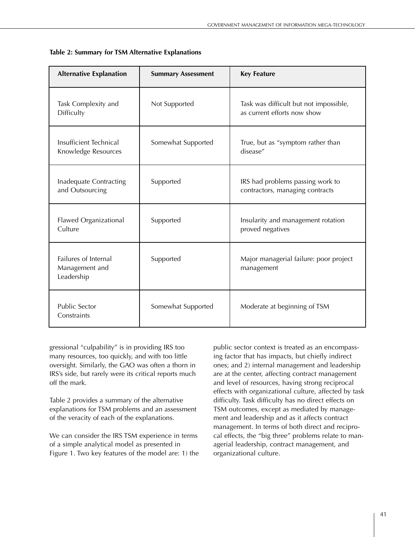| <b>Alternative Explanation</b>                       | <b>Summary Assessment</b> | <b>Key Feature</b>                                                    |
|------------------------------------------------------|---------------------------|-----------------------------------------------------------------------|
| Task Complexity and<br>Difficulty                    | Not Supported             | Task was difficult but not impossible,<br>as current efforts now show |
| Insufficient Technical<br>Knowledge Resources        | Somewhat Supported        | True, but as "symptom rather than<br>disease"                         |
| Inadequate Contracting<br>and Outsourcing            | Supported                 | IRS had problems passing work to<br>contractors, managing contracts   |
| Flawed Organizational<br>Culture                     | Supported                 | Insularity and management rotation<br>proved negatives                |
| Failures of Internal<br>Management and<br>Leadership | Supported                 | Major managerial failure: poor project<br>management                  |
| Public Sector<br>Constraints                         | Somewhat Supported        | Moderate at beginning of TSM                                          |

**Table 2: Summary for TSM Alternative Explanations**

gressional "culpability" is in providing IRS too many resources, too quickly, and with too little oversight. Similarly, the GAO was often a thorn in IRS's side, but rarely were its critical reports much off the mark.

Table 2 provides a summary of the alternative explanations for TSM problems and an assessment of the veracity of each of the explanations.

We can consider the IRS TSM experience in terms of a simple analytical model as presented in Figure 1. Two key features of the model are: 1) the public sector context is treated as an encompassing factor that has impacts, but chiefly indirect ones; and 2) internal management and leadership are at the center, affecting contract management and level of resources, having strong reciprocal effects with organizational culture, affected by task difficulty. Task difficulty has no direct effects on TSM outcomes, except as mediated by management and leadership and as it affects contract management. In terms of both direct and reciprocal effects, the "big three" problems relate to managerial leadership, contract management, and organizational culture.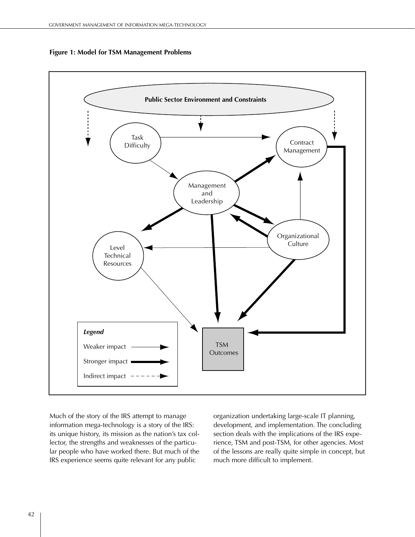



Much of the story of the IRS attempt to manage information mega-technology is a story of the IRS: its unique history, its mission as the nation's tax collector, the strengths and weaknesses of the particular people who have worked there. But much of the IRS experience seems quite relevant for any public

organization undertaking large-scale IT planning, development, and implementation. The concluding section deals with the implications of the IRS experience, TSM and post-TSM, for other agencies. Most of the lessons are really quite simple in concept, but much more difficult to implement.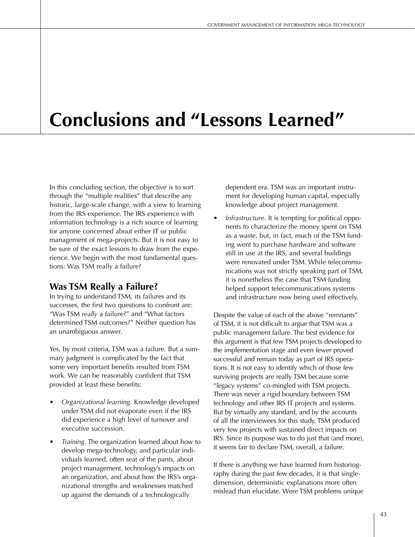# **Conclusions and "Lessons Learned"**

In this concluding section, the objective is to sort through the "multiple realities" that describe any historic, large-scale change, with a view to learning from the IRS experience. The IRS experience with information technology is a rich source of learning for anyone concerned about either IT or public management of mega-projects. But it is not easy to be sure of the exact lessons to draw from the experience. We begin with the most fundamental questions: Was TSM really a failure?

### **Was TSM Really a Failure?**

In trying to understand TSM, its failures and its successes, the first two questions to confront are: "Was TSM *really* a failure?" and "What factors determined TSM outcomes?" Neither question has an unambiguous answer.

Yes, by most criteria, TSM was a failure. But a summary judgment is complicated by the fact that some very important benefits resulted from TSM work. We can be reasonably confident that TSM provided at least these benefits:

- *Organizational learning.* Knowledge developed under TSM did not evaporate even if the IRS did experience a high level of turnover and executive succession.
- *Training.* The organization learned about how to develop mega-technology, and particular individuals learned, often seat of the pants, about project management, technology's impacts on an organization, and about how the IRS's organizational strengths and weaknesses matched up against the demands of a technologically

dependent era. TSM was an important instrument for developing human capital, especially knowledge about project management.

• *Infrastructure.* It is tempting for political opponents to characterize the money spent on TSM as a waste, but, in fact, much of the TSM funding went to purchase hardware and software still in use at the IRS, and several buildings were renovated under TSM. While telecommunications was not strictly speaking part of TSM, it is nonetheless the case that TSM funding helped support telecommunications systems and infrastructure now being used effectively.

Despite the value of each of the above "remnants" of TSM, it is not difficult to argue that TSM was a public management failure. The best evidence for this argument is that few TSM projects developed to the implementation stage and even fewer proved successful and remain today as part of IRS operations. It is not easy to identify which of those few surviving projects are really TSM because some "legacy systems" co-mingled with TSM projects. There was never a rigid boundary between TSM technology and other IRS IT projects and systems. But by virtually any standard, and by the accounts of all the interviewees for this study, TSM produced very few projects with sustained direct impacts on IRS. Since its purpose was to do just that (and more), it seems fair to declare TSM, overall, a failure.

If there is anything we have learned from historiography during the past few decades, it is that singledimension, deterministic explanations more often mislead than elucidate. Were TSM problems unique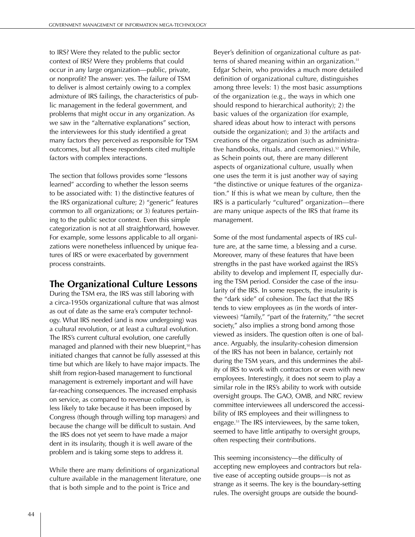to IRS? Were they related to the public sector context of IRS? Were they problems that could occur in any large organization—public, private, or nonprofit? The answer: yes. The failure of TSM to deliver is almost certainly owing to a complex admixture of IRS failings, the characteristics of public management in the federal government, and problems that might occur in any organization. As we saw in the "alternative explanations" section, the interviewees for this study identified a great many factors they perceived as responsible for TSM outcomes, but all these respondents cited multiple factors with complex interactions.

The section that follows provides some "lessons learned" according to whether the lesson seems to be associated with: 1) the distinctive features of the IRS organizational culture; 2) "generic" features common to all organizations; or 3) features pertaining to the public sector context. Even this simple categorization is not at all straightforward, however. For example, some lessons applicable to all organizations were nonetheless influenced by unique features of IRS or were exacerbated by government process constraints.

## **The Organizational Culture Lessons**

During the TSM era, the IRS was still laboring with a circa-1950s organizational culture that was almost as out of date as the same era's computer technology. What IRS needed (and is now undergoing) was a cultural revolution, or at least a cultural evolution. The IRS's current cultural evolution, one carefully managed and planned with their new blueprint,<sup>50</sup> has initiated changes that cannot be fully assessed at this time but which are likely to have major impacts. The shift from region-based management to functional management is extremely important and will have far-reaching consequences. The increased emphasis on service, as compared to revenue collection, is less likely to take because it has been imposed by Congress (though through willing top managers) and because the change will be difficult to sustain. And the IRS does not yet seem to have made a major dent in its insularity, though it is well aware of the problem and is taking some steps to address it.

While there are many definitions of organizational culture available in the management literature, one that is both simple and to the point is Trice and

Beyer's definition of organizational culture as patterns of shared meaning within an organization.<sup>51</sup> Edgar Schein, who provides a much more detailed definition of organizational culture, distinguishes among three levels: 1) the most basic assumptions of the organization (e.g., the ways in which one should respond to hierarchical authority); 2) the basic values of the organization (for example, shared ideas about how to interact with persons outside the organization); and 3) the artifacts and creations of the organization (such as administrative handbooks, rituals. and ceremonies).<sup>52</sup> While, as Schein points out, there are many different aspects of organizational culture, usually when one uses the term it is just another way of saying "the distinctive or unique features of the organization." If this is what we mean by culture, then the IRS is a particularly "cultured" organization—there are many unique aspects of the IRS that frame its management.

Some of the most fundamental aspects of IRS culture are, at the same time, a blessing and a curse. Moreover, many of these features that have been strengths in the past have worked against the IRS's ability to develop and implement IT, especially during the TSM period. Consider the case of the insularity of the IRS. In some respects, the insularity is the "dark side" of cohesion. The fact that the IRS tends to view employees as (in the words of interviewees) "family," "part of the fraternity," "the secret society," also implies a strong bond among those viewed as insiders. The question often is one of balance. Arguably, the insularity-cohesion dimension of the IRS has not been in balance, certainly not during the TSM years, and this undermines the ability of IRS to work with contractors or even with new employees. Interestingly, it does not seem to play a similar role in the IRS's ability to work with outside oversight groups. The GAO, OMB, and NRC review committee interviewees all underscored the accessibility of IRS employees and their willingness to engage.53 The IRS interviewees, by the same token, seemed to have little antipathy to oversight groups, often respecting their contributions.

This seeming inconsistency—the difficulty of accepting new employees and contractors but relative ease of accepting outside groups—is not as strange as it seems. The key is the boundary-setting rules. The oversight groups are outside the bound-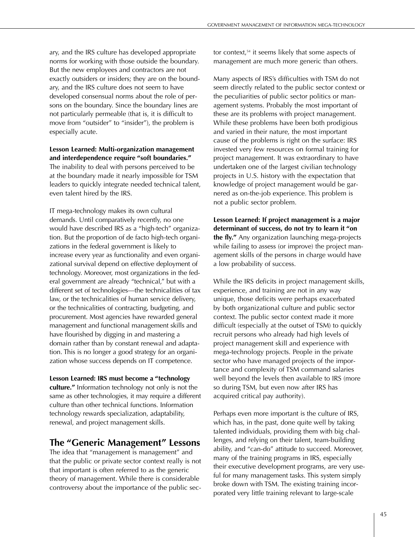ary, and the IRS culture has developed appropriate norms for working with those outside the boundary. But the new employees and contractors are not exactly outsiders or insiders; they are on the boundary, and the IRS culture does not seem to have developed consensual norms about the role of persons on the boundary. Since the boundary lines are not particularly permeable (that is, it is difficult to move from "outsider" to "insider"), the problem is especially acute.

#### **Lesson Learned: Multi-organization management and interdependence require "soft boundaries."**

The inability to deal with persons perceived to be at the boundary made it nearly impossible for TSM leaders to quickly integrate needed technical talent, even talent hired by the IRS.

IT mega-technology makes its own cultural demands. Until comparatively recently, no one would have described IRS as a "high-tech" organization. But the proportion of de facto high-tech organizations in the federal government is likely to increase every year as functionality and even organizational survival depend on effective deployment of technology. Moreover, most organizations in the federal government are already "technical," but with a different set of technologies—the technicalities of tax law, or the technicalities of human service delivery, or the technicalities of contracting, budgeting, and procurement. Most agencies have rewarded general management and functional management skills and have flourished by digging in and mastering a domain rather than by constant renewal and adaptation. This is no longer a good strategy for an organization whose success depends on IT competence.

#### **Lesson Learned: IRS must become a "technology**

**culture."** Information technology not only is not the same as other technologies, it may require a different culture than other technical functions. Information technology rewards specialization, adaptability, renewal, and project management skills.

### **The "Generic Management" Lessons**

The idea that "management is management" and that the public or private sector context really is not that important is often referred to as the generic theory of management. While there is considerable controversy about the importance of the public sector context,<sup>54</sup> it seems likely that some aspects of management are much more generic than others.

Many aspects of IRS's difficulties with TSM do not seem directly related to the public sector context or the peculiarities of public sector politics or management systems. Probably the most important of these are its problems with project management. While these problems have been both prodigious and varied in their nature, the most important cause of the problems is right on the surface: IRS invested very few resources on formal training for project management. It was extraordinary to have undertaken one of the largest civilian technology projects in U.S. history with the expectation that knowledge of project management would be garnered as on-the-job experience. This problem is not a public sector problem.

**Lesson Learned: If project management is a major determinant of success, do not try to learn it "on the fly."** Any organization launching mega-projects while failing to assess (or improve) the project management skills of the persons in charge would have a low probability of success.

While the IRS deficits in project management skills, experience, and training are not in any way unique, those deficits were perhaps exacerbated by both organizational culture and public sector context. The public sector context made it more difficult (especially at the outset of TSM) to quickly recruit persons who already had high levels of project management skill and experience with mega-technology projects. People in the private sector who have managed projects of the importance and complexity of TSM command salaries well beyond the levels then available to IRS (more so during TSM, but even now after IRS has acquired critical pay authority).

Perhaps even more important is the culture of IRS, which has, in the past, done quite well by taking talented individuals, providing them with big challenges, and relying on their talent, team-building ability, and "can-do" attitude to succeed. Moreover, many of the training programs in IRS, especially their executive development programs, are very useful for many management tasks. This system simply broke down with TSM. The existing training incorporated very little training relevant to large-scale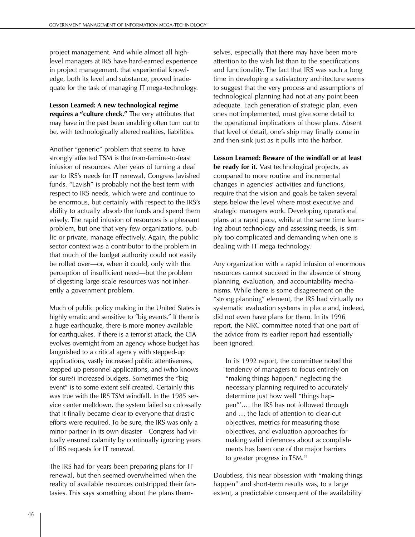project management. And while almost all highlevel managers at IRS have hard-earned experience in project management, that experiential knowledge, both its level and substance, proved inadequate for the task of managing IT mega-technology.

**Lesson Learned: A new technological regime requires a "culture check."** The very attributes that may have in the past been enabling often turn out to be, with technologically altered realities, liabilities.

Another "generic" problem that seems to have strongly affected TSM is the from-famine-to-feast infusion of resources. After years of turning a deaf ear to IRS's needs for IT renewal, Congress lavished funds. "Lavish" is probably not the best term with respect to IRS needs, which were and continue to be enormous, but certainly with respect to the IRS's ability to actually absorb the funds and spend them wisely. The rapid infusion of resources is a pleasant problem, but one that very few organizations, public or private, manage effectively. Again, the public sector context was a contributor to the problem in that much of the budget authority could not easily be rolled over—or, when it could, only with the perception of insufficient need—but the problem of digesting large-scale resources was not inherently a government problem.

Much of public policy making in the United States is highly erratic and sensitive to "big events." If there is a huge earthquake, there is more money available for earthquakes. If there is a terrorist attack, the CIA evolves overnight from an agency whose budget has languished to a critical agency with stepped-up applications, vastly increased public attentiveness, stepped up personnel applications, and (who knows for sure?) increased budgets. Sometimes the "big event" is to some extent self-created. Certainly this was true with the IRS TSM windfall. In the 1985 service center meltdown, the system failed so colossally that it finally became clear to everyone that drastic efforts were required. To be sure, the IRS was only a minor partner in its own disaster—Congress had virtually ensured calamity by continually ignoring years of IRS requests for IT renewal.

The IRS had for years been preparing plans for IT renewal, but then seemed overwhelmed when the reality of available resources outstripped their fantasies. This says something about the plans themselves, especially that there may have been more attention to the wish list than to the specifications and functionality. The fact that IRS was such a long time in developing a satisfactory architecture seems to suggest that the very process and assumptions of technological planning had not at any point been adequate. Each generation of strategic plan, even ones not implemented, must give some detail to the operational implications of those plans. Absent that level of detail, one's ship may finally come in and then sink just as it pulls into the harbor.

**Lesson Learned: Beware of the windfall or at least be ready for it.** Vast technological projects, as compared to more routine and incremental changes in agencies' activities and functions, require that the vision and goals be taken several steps below the level where most executive and strategic managers work. Developing operational plans at a rapid pace, while at the same time learning about technology and assessing needs, is simply too complicated and demanding when one is dealing with IT mega-technology.

Any organization with a rapid infusion of enormous resources cannot succeed in the absence of strong planning, evaluation, and accountability mechanisms. While there is some disagreement on the "strong planning" element, the IRS had virtually no systematic evaluation systems in place and, indeed, did not even have plans for them. In its 1996 report, the NRC committee noted that one part of the advice from its earlier report had essentially been ignored:

In its 1992 report, the committee noted the tendency of managers to focus entirely on "making things happen," neglecting the necessary planning required to accurately determine just how well "things happen"'.… the IRS has not followed through and … the lack of attention to clear-cut objectives, metrics for measuring those objectives, and evaluation approaches for making valid inferences about accomplishments has been one of the major barriers to greater progress in TSM.<sup>55</sup>

Doubtless, this near obsession with "making things happen" and short-term results was, to a large extent, a predictable consequent of the availability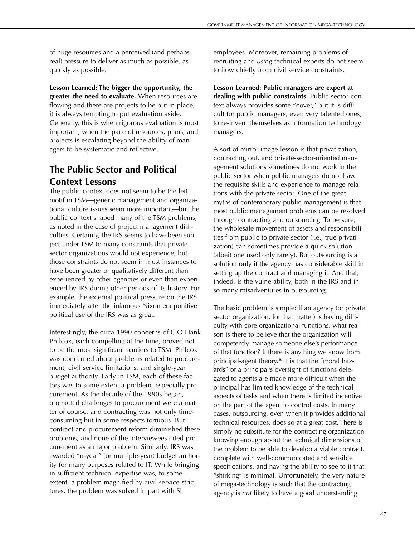of huge resources and a perceived (and perhaps real) pressure to deliver as much as possible, as quickly as possible.

**Lesson Learned: The bigger the opportunity, the greater the need to evaluate.** When resources are flowing and there are projects to be put in place, it is always tempting to put evaluation aside. Generally, this is when rigorous evaluation is most important, when the pace of resources, plans, and projects is escalating beyond the ability of managers to be systematic and reflective.

# **The Public Sector and Political Context Lessons**

The public context does not seem to be the leitmotif in TSM—generic management and organizational culture issues seem more important—but the public context shaped many of the TSM problems, as noted in the case of project management difficulties. Certainly, the IRS seems to have been subject under TSM to many constraints that private sector organizations would not experience, but those constraints do not seem in most instances to have been greater or qualitatively different than experienced by other agencies or even than experienced by IRS during other periods of its history. For example, the external political pressure on the IRS immediately after the infamous Nixon era punitive political use of the IRS was as great.

Interestingly, the circa-1990 concerns of CIO Hank Philcox, each compelling at the time, proved not to be the most significant barriers to TSM. Philcox was concerned about problems related to procurement, civil service limitations, and single-year budget authority. Early in TSM, each of these factors was to some extent a problem, especially procurement. As the decade of the 1990s began, protracted challenges to procurement were a matter of course, and contracting was not only timeconsuming but in some respects tortuous. But contract and procurement reform diminished these problems, and none of the interviewees cited procurement as a major problem. Similarly, IRS was awarded "n-year" (or multiple-year) budget authority for many purposes related to IT. While bringing in sufficient technical expertise was, to some extent, a problem magnified by civil service strictures, the problem was solved in part with SL

employees. Moreover, remaining problems of recruiting and *using* technical experts do not seem to flow chiefly from civil service constraints.

**Lesson Learned: Public managers are expert at dealing with public constraints**. Public sector context always provides some "cover," but it is difficult for public managers, even very talented ones, to re-invent themselves as information technology managers.

A sort of mirror-image lesson is that privatization, contracting out, and private-sector-oriented management solutions sometimes do not work in the public sector when public managers do not have the requisite skills and experience to manage relations with the private sector. One of the great myths of contemporary public management is that most public management problems can be resolved through contracting and outsourcing. To be sure, the wholesale movement of assets and responsibilities from public to private sector (i.e., true privatization) can sometimes provide a quick solution (albeit one used only rarely). But outsourcing is a solution only if the agency has considerable skill in setting up the contract and managing it. And that, indeed, is the vulnerability, both in the IRS and in so many misadventures in outsourcing.

The basic problem is simple: If an agency (or private sector organization, for that matter) is having difficulty with core organizational functions, what reason is there to believe that the organization will competently manage someone else's performance of that function? If there is anything we know from principal-agent theory,<sup>56</sup> it is that the "moral hazards" of a principal's oversight of functions delegated to agents are made more difficult when the principal has limited knowledge of the technical aspects of tasks and when there is limited incentive on the part of the agent to control costs. In many cases, outsourcing, even when it provides additional technical resources, does so at a great cost. There is simply no substitute for the contracting organization knowing enough about the technical dimensions of the problem to be able to develop a viable contract, complete with well-communicated and sensible specifications, and having the ability to see to it that "shirking" is minimal. Unfortunately, the very nature of mega-technology is such that the contracting agency is *not* likely to have a good understanding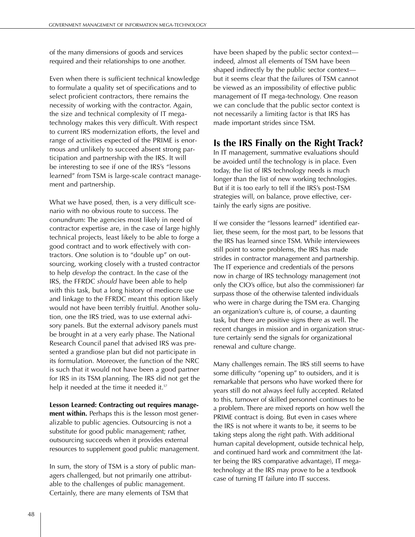of the many dimensions of goods and services required and their relationships to one another.

Even when there is sufficient technical knowledge to formulate a quality set of specifications and to select proficient contractors, there remains the necessity of working with the contractor. Again, the size and technical complexity of IT megatechnology makes this very difficult. With respect to current IRS modernization efforts, the level and range of activities expected of the PRIME is enormous and unlikely to succeed absent strong participation and partnership with the IRS. It will be interesting to see if one of the IRS's "lessons learned" from TSM is large-scale contract management and partnership.

What we have posed, then, is a very difficult scenario with no obvious route to success. The conundrum: The agencies most likely in need of contractor expertise are, in the case of large highly technical projects, least likely to be able to forge a good contract and to work effectively with contractors. One solution is to "double up" on outsourcing, working closely with a trusted contractor to help *develop* the contract. In the case of the IRS, the FFRDC *should* have been able to help with this task, but a long history of mediocre use and linkage to the FFRDC meant this option likely would not have been terribly fruitful. Another solution, one the IRS tried, was to use external advisory panels. But the external advisory panels must be brought in at a very early phase. The National Research Council panel that advised IRS was presented a grandiose plan but did not participate in its formulation. Moreover, the function of the NRC is such that it would not have been a good partner for IRS in its TSM planning. The IRS did not get the help it needed at the time it needed it.<sup>57</sup>

**Lesson Learned: Contracting out requires management within.** Perhaps this is the lesson most generalizable to public agencies. Outsourcing is not a substitute for good public management; rather, outsourcing succeeds when it provides external resources to supplement good public management.

In sum, the story of TSM is a story of public managers challenged, but not primarily one attributable to the challenges of public management. Certainly, there are many elements of TSM that

have been shaped by the public sector context indeed, almost all elements of TSM have been shaped indirectly by the public sector context but it seems clear that the failures of TSM cannot be viewed as an impossibility of effective public management of IT mega-technology. One reason we can conclude that the public sector context is not necessarily a limiting factor is that IRS has made important strides since TSM.

## **Is the IRS Finally on the Right Track?**

In IT management, summative evaluations should be avoided until the technology is in place. Even today, the list of IRS technology needs is much longer than the list of new working technologies. But if it is too early to tell if the IRS's post-TSM strategies will, on balance, prove effective, certainly the early signs are positive.

If we consider the "lessons learned" identified earlier, these seem, for the most part, to be lessons that the IRS has learned since TSM. While interviewees still point to some problems, the IRS has made strides in contractor management and partnership. The IT experience and credentials of the persons now in charge of IRS technology management (not only the CIO's office, but also the commissioner) far surpass those of the otherwise talented individuals who were in charge during the TSM era. Changing an organization's culture is, of course, a daunting task, but there are positive signs there as well. The recent changes in mission and in organization structure certainly send the signals for organizational renewal and culture change.

Many challenges remain. The IRS still seems to have some difficulty "opening up" to outsiders, and it is remarkable that persons who have worked there for years still do not always feel fully accepted. Related to this, turnover of skilled personnel continues to be a problem. There are mixed reports on how well the PRIME contract is doing. But even in cases where the IRS is not where it wants to be, it seems to be taking steps along the right path. With additional human capital development, outside technical help, and continued hard work and commitment (the latter being the IRS comparative advantage), IT megatechnology at the IRS may prove to be a textbook case of turning IT failure into IT success.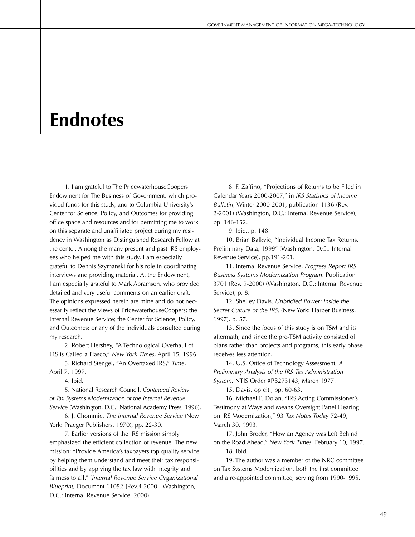# **Endnotes**

1. I am grateful to The PricewaterhouseCoopers Endowment for The Business of Government, which provided funds for this study, and to Columbia University's Center for Science, Policy, and Outcomes for providing office space and resources and for permitting me to work on this separate and unaffiliated project during my residency in Washington as Distinguished Research Fellow at the center. Among the many present and past IRS employees who helped me with this study, I am especially grateful to Dennis Szymanski for his role in coordinating interviews and providing material. At the Endowment, I am especially grateful to Mark Abramson, who provided detailed and very useful comments on an earlier draft. The opinions expressed herein are mine and do not necessarily reflect the views of PricewaterhouseCoopers; the Internal Revenue Service; the Center for Science, Policy, and Outcomes; or any of the individuals consulted during my research.

2. Robert Hershey, "A Technological Overhaul of IRS is Called a Fiasco," *New York Times,* April 15, 1996.

3. Richard Stengel, "An Overtaxed IRS," *Time,* April 7, 1997.

4. Ibid.

5. National Research Council, *Continued Review of Tax Systems Modernization of the Internal Revenue Service* (Washington, D.C.: National Academy Press, 1996).

6. J. Chommie, *The Internal Revenue Service* (New York: Praeger Publishers, 1970), pp. 22-30.

7. Earlier versions of the IRS mission simply emphasized the efficient collection of revenue. The new mission: "Provide America's taxpayers top quality service by helping them understand and meet their tax responsibilities and by applying the tax law with integrity and fairness to all." (*Internal Revenue Service Organizational Blueprint,* Document 11052 [Rev.4-2000], Washington, D.C.: Internal Revenue Service, 2000).

8. F. Zaffino, "Projections of Returns to be Filed in Calendar Years 2000-2007," in *IRS Statistics of Income Bulletin,* Winter 2000-2001, publication 1136 (Rev. 2-2001) (Washington, D.C.: Internal Revenue Service), pp. 146-152.

9. Ibid., p. 148.

10. Brian Balkvic, "Individual Income Tax Returns, Preliminary Data, 1999" (Washington, D.C.: Internal Revenue Service), pp.191-201.

11. Internal Revenue Service, *Progress Report IRS Business Systems Modernization Program,* Publication 3701 (Rev. 9-2000) (Washington, D.C.: Internal Revenue Service), p. 8.

12. Shelley Davis, *Unbridled Power: Inside the Secret Culture of the IRS.* (New York: Harper Business, 1997), p. 57.

13. Since the focus of this study is on TSM and its aftermath, and since the pre-TSM activity consisted of plans rather than projects and programs, this early phase receives less attention.

14. U.S. Office of Technology Assessment, *A Preliminary Analysis of the IRS Tax Administration System.* NTIS Order #PB273143, March 1977.

15. Davis, op cit., pp. 60-63.

16. Michael P. Dolan, "IRS Acting Commissioner's Testimony at Ways and Means Oversight Panel Hearing on IRS Modernization," 93 *Tax Notes Today* 72-49, March 30, 1993.

17. John Broder, "How an Agency was Left Behind on the Road Ahead," *New York Times,* February 10, 1997. 18. Ibid.

19. The author was a member of the NRC committee on Tax Systems Modernization, both the first committee and a re-appointed committee, serving from 1990-1995.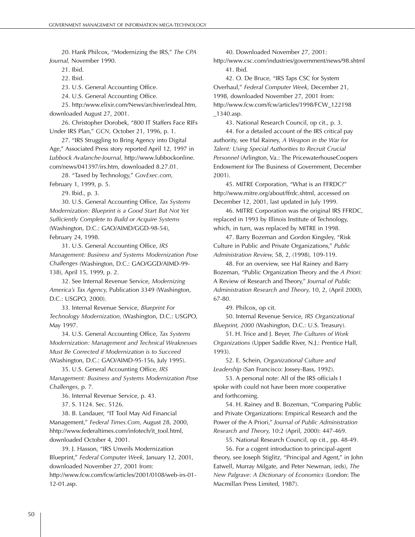20. Hank Philcox, "Modernizing the IRS," *The CPA Journal,* November 1990.

21. Ibid.

22. Ibid.

23. U.S. General Accounting Office.

24. U.S. General Accounting Office.

25. http:/www.elixir.com/News/archive/irsdeal.htm, downloaded August 27, 2001.

26. Christopher Dorobek, "800 IT Staffers Face RIFs Under IRS Plan," *GCN,* October 21, 1996, p. 1.

27. "IRS Struggling to Bring Agency into Digital Age," Associated Press story reported April 12, 1997 in *Lubbock Avalanche-Journal,* http://www.lubbockonline. com/news/041397/irs.htm, downloaded 8.27.01.

28. "Taxed by Technology," *GovExec.com,*

February 1, 1999, p. 5.

29. Ibid., p. 3.

30. U.S. General Accounting Office, *Tax Systems Modernization: Blueprint is a Good Start But Not Yet Sufficiently Complete to Build or Acquire Systems* (Washington, D.C.: GAO/AIMD/GGD-98-54), February 24, 1998.

31. U.S. General Accounting Office, *IRS Management: Business and Systems Modernization Pose Challenges* (Washington, D.C.: GAO/GGD/AIMD-99- 138), April 15, 1999, p. 2.

32. See Internal Revenue Service, *Modernizing America's Tax Agency,* Publication 3349 (Washington, D.C.: USGPO, 2000).

33. Internal Revenue Service, *Blueprint For Technology Modernization,* (Washington, D.C.: USGPO, May 1997.

34. U.S. General Accounting Office, *Tax Systems Modernization: Management and Technical Weaknesses Must Be Corrected if Modernization is to Succeed* (Washington, D.C.: GAO/AIMD-95-156, July 1995).

35. U.S. General Accounting Office, *IRS Management: Business and Systems Modernization Pose Challenges,* p. 7.

36. Internal Revenue Service, p. 43.

37. S. 1124. Sec. 5126.

38. B. Landauer, "IT Tool May Aid Financial Management," *Federal Times.Com,* August 28, 2000, hhtp://www.federaltimes.com/infotech/it\_tool.html, downloaded October 4, 2001.

39. J. Hasson, "IRS Unveils Modernization Blueprint," *Federal Computer Week,* January 12, 2001, downloaded November 27, 2001 from: http://www.fcw.com/fcw/articles/2001/0108/web-irs-01- 12-01.asp.

40. Downloaded November 27, 2001:

http://www.csc.com/industries/government/news/98.shtml 41. Ibid.

42. O. De Bruce, "IRS Taps CSC for System Overhaul," *Federal Computer Week,* December 21, 1998, downloaded November 27, 2001 from: http://www.fcw.com/fcw/articles/1998/FCW\_122198  $\_1340$ .asp.

43. National Research Council, op cit., p. 3.

44. For a detailed account of the IRS critical pay authority, see Hal Rainey, *A Weapon in the War for Talent: Using Special Authorities to Recruit Crucial Personnel* (Arlington, Va.: The PricewaterhouseCoopers Endowment for The Business of Government, December 2001).

45. MITRE Corporation, "What is an FFRDC?" http://www.mitre.org/about/ffrdc.shtml, accessed on December 12, 2001, last updated in July 1999.

46. MITRE Corporation was the original IRS FFRDC, replaced in 1993 by Illinois Institute of Technology, which, in turn, was replaced by MITRE in 1998.

47. Barry Bozeman and Gordon Kingsley, "Risk Culture in Public and Private Organizations," *Public Administration Review,* 58, 2, (1998), 109-119.

48. For an overview, see Hal Rainey and Barry Bozeman, "Public Organization Theory and the *A Priori:* A Review of Research and Theory," *Journal of Public Administration Research and Theory,* 10, 2, (April 2000), 67-80.

49. Philcox, op cit.

50. Internal Revenue Service, *IRS Organizational Blueprint, 2000* (Washington, D.C.: U.S. Treasury).

51. H. Trice and J. Beyer, *The Cultures of Work Organizations* (Upper Saddle River, N.J.: Prentice Hall, 1993).

52. E. Schein, *Organizational Culture and Leadership* (San Francisco: Jossey-Bass, 1992).

53. A personal note: All of the IRS officials I spoke with could not have been more cooperative and forthcoming.

54. H. Rainey and B. Bozeman, "Comparing Public and Private Organizations: Empirical Research and the Power of the A Priori," *Journal of Public Administration Research and Theory,* 10:2 (April, 2000): 447-469.

55. National Research Council, op cit., pp. 48-49.

56. For a cogent introduction to principal-agent theory, see Joseph Stiglitz, "Principal and Agent," in John Eatwell, Murray Milgate, and Peter Newman, (eds), *The New Palgrave: A Dictionary of Economics* (London: The Macmillan Press Limited, 1987).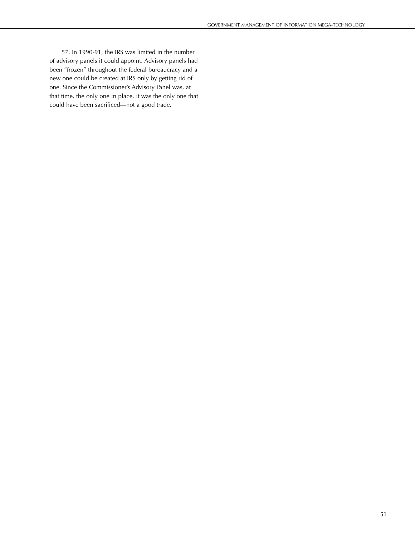57. In 1990-91, the IRS was limited in the number of advisory panels it could appoint. Advisory panels had been "frozen" throughout the federal bureaucracy and a new one could be created at IRS only by getting rid of one. Since the Commissioner's Advisory Panel was, at that time, the only one in place, it was the only one that could have been sacrificed—not a good trade.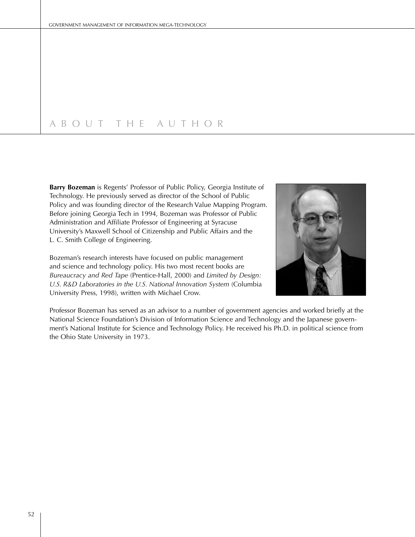# ABOUT THE AUTHOR

**Barry Bozeman** is Regents' Professor of Public Policy, Georgia Institute of Technology. He previously served as director of the School of Public Policy and was founding director of the Research Value Mapping Program. Before joining Georgia Tech in 1994, Bozeman was Professor of Public Administration and Affiliate Professor of Engineering at Syracuse University's Maxwell School of Citizenship and Public Affairs and the L. C. Smith College of Engineering.

Bozeman's research interests have focused on public management and science and technology policy. His two most recent books are *Bureaucracy and Red Tape* (Prentice-Hall, 2000) and *Limited by Design: U.S. R&D Laboratories in the U.S. National Innovation System* (Columbia University Press, 1998), written with Michael Crow.



Professor Bozeman has served as an advisor to a number of government agencies and worked briefly at the National Science Foundation's Division of Information Science and Technology and the Japanese government's National Institute for Science and Technology Policy. He received his Ph.D. in political science from the Ohio State University in 1973.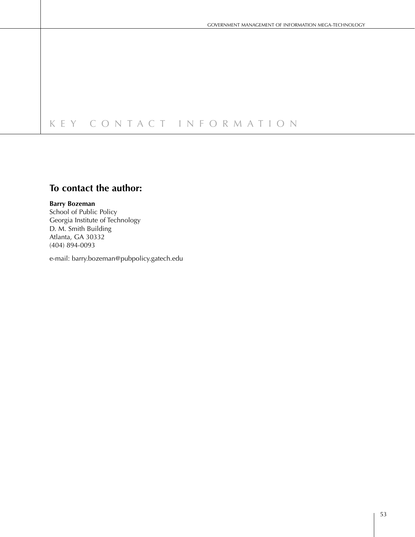# KEY CONTACT INFORMATION

## **To contact the author:**

#### **Barry Bozeman**

School of Public Policy Georgia Institute of Technology D. M. Smith Building Atlanta, GA 30332 (404) 894-0093

e-mail: barry.bozeman@pubpolicy.gatech.edu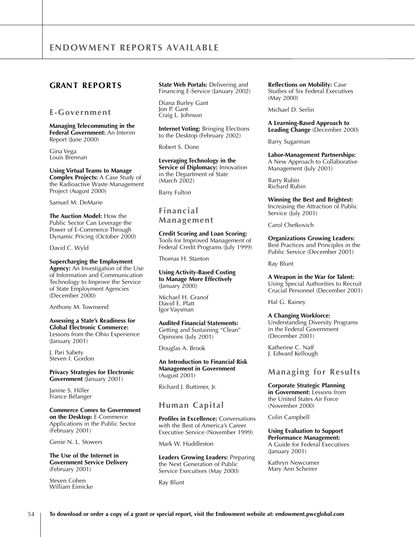#### **GRANT REPORTS**

#### **E-Government**

**Managing Telecommuting in the Federal Government:** An Interim Report (June 2000)

Gina Vega Louis Brennan

**Using Virtual Teams to Manage Complex Projects:** A Case Study of the Radioactive Waste Management Project (August 2000)

Samuel M. DeMarie

**The Auction Model:** How the Public Sector Can Leverage the Power of E-Commerce Through Dynamic Pricing (October 2000)

David C. Wyld

#### **Supercharging the Employment**

**Agency:** An Investigation of the Use of Information and Communication Technology to Improve the Service of State Employment Agencies (December 2000)

Anthony M. Townsend

#### **Assessing a State's Readiness for Global Electronic Commerce:**

Lessons from the Ohio Experience (January 2001)

J. Pari Sabety Steven I. Gordon

#### **Privacy Strategies for Electronic Government** (January 2001)

Janine S. Hiller France Bélanger

**Commerce Comes to Government on the Desktop:** E-Commerce Applications in the Public Sector (February 2001)

Genie N. L. Stowers

**The Use of the Internet in Government Service Delivery** (February 2001)

Steven Cohen William Eimicke **State Web Portals: Delivering and** Financing E-Service (January 2002)

Diana Burley Gant Jon P. Gant Craig L. Johnson

**Internet Voting:** Bringing Elections to the Desktop (February 2002)

Robert S. Done

**Leveraging Technology in the Service of Diplomacy:** Innovation in the Department of State (March 2002)

Barry Fulton

#### **Financial Management**

**Credit Scoring and Loan Scoring:** Tools for Improved Management of Federal Credit Programs (July 1999)

Thomas H. Stanton

**Using Activity-Based Costing to Manage More Effectively** (January 2000)

Michael H. Granof David E. Platt Igor Vaysman

**Audited Financial Statements:** Getting and Sustaining "Clean" Opinions (July 2001)

Douglas A. Brook

#### **An Introduction to Financial Risk Management in Government** (August 2001)

Richard J. Buttimer, Jr.

#### **Human Capital**

**Profiles in Excellence:** Conversations with the Best of America's Career Executive Service (November 1999)

Mark W. Huddleston

**Leaders Growing Leaders:** Preparing the Next Generation of Public Service Executives (May 2000)

Ray Blunt

**Reflections on Mobility:** Case Studies of Six Federal Executives (May 2000)

Michael D. Serlin

**A Learning-Based Approach to Leading Change** (December 2000)

Barry Sugarman

**Labor-Management Partnerships:** A New Approach to Collaborative Management (July 2001)

Barry Rubin Richard Rubin

**Winning the Best and Brightest:**

Increasing the Attraction of Public Service (July 2001)

Carol Chetkovich

**Organizations Growing Leaders:** Best Practices and Principles in the Public Service (December 2001)

Ray Blunt

**A Weapon in the War for Talent:** Using Special Authorities to Recruit

Crucial Personnel (December 2001)

Hal G. Rainey

#### **A Changing Workforce:**

Understanding Diversity Programs in the Federal Government (December 2001)

Katherine C. Naff J. Edward Kellough

#### **Managing for Results**

**Corporate Strategic Planning in Government:** Lessons from the United States Air Force

(November 2000)

Colin Campbell

**Using Evaluation to Support**

**Performance Management:** A Guide for Federal Executives (January 2001)

Kathryn Newcomer Mary Ann Scheirer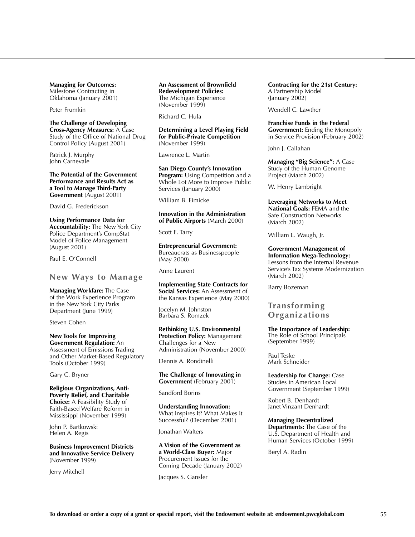**Managing for Outcomes:** Milestone Contracting in Oklahoma (January 2001)

Peter Frumkin

**The Challenge of Developing Cross-Agency Measures:** A Case Study of the Office of National Drug Control Policy (August 2001)

Patrick J. Murphy John Carnevale

**The Potential of the Government Performance and Results Act as a Tool to Manage Third-Party Government** (August 2001)

David G. Frederickson

**Using Performance Data for Accountability:** The New York City Police Department's CompStat Model of Police Management (August 2001)

Paul E. O'Connell

#### **New Ways to Manage**

**Managing Workfare:** The Case of the Work Experience Program in the New York City Parks Department (June 1999)

Steven Cohen

**New Tools for Improving Government Regulation:** An Assessment of Emissions Trading and Other Market-Based Regulatory Tools (October 1999)

Gary C. Bryner

**Religious Organizations, Anti-Poverty Relief, and Charitable Choice:** A Feasibility Study of Faith-Based Welfare Reform in Mississippi (November 1999)

John P. Bartkowski Helen A. Regis

**Business Improvement Districts and Innovative Service Delivery** (November 1999)

Jerry Mitchell

**An Assessment of Brownfield Redevelopment Policies:**  The Michigan Experience (November 1999)

Richard C. Hula

**Determining a Level Playing Field for Public-Private Competition** (November 1999)

Lawrence L. Martin

**San Diego County's Innovation Program:** Using Competition and a Whole Lot More to Improve Public Services (January 2000)

William B. Eimicke

**Innovation in the Administration of Public Airports** (March 2000)

Scott E. Tarry

**Entrepreneurial Government:** Bureaucrats as Businesspeople (May 2000)

Anne Laurent

**Implementing State Contracts for Social Services:** An Assessment of the Kansas Experience (May 2000)

Jocelyn M. Johnston Barbara S. Romzek

**Rethinking U.S. Environmental Protection Policy:** Management Challenges for a New Administration (November 2000)

Dennis A. Rondinelli

**The Challenge of Innovating in Government** (February 2001)

Sandford Borins

**Understanding Innovation:** What Inspires It? What Makes It Successful? (December 2001)

Jonathan Walters

**A Vision of the Government as a World-Class Buyer:** Major Procurement Issues for the Coming Decade (January 2002)

Jacques S. Gansler

**Contracting for the 21st Century:**  A Partnership Model (January 2002)

Wendell C. Lawther

**Franchise Funds in the Federal Government:** Ending the Monopoly in Service Provision (February 2002)

John J. Callahan

**Managing "Big Science":** A Case Study of the Human Genome Project (March 2002)

W. Henry Lambright

**Leveraging Networks to Meet National Goals:** FEMA and the Safe Construction Networks (March 2002)

William L. Waugh, Jr.

**Government Management of Information Mega-Technology:** Lessons from the Internal Revenue Service's Tax Systems Modernization (March 2002)

Barry Bozeman

**Transforming Organizations**

**The Importance of Leadership:** The Role of School Principals (September 1999)

Paul Teske Mark Schneider

**Leadership for Change:** Case Studies in American Local Government (September 1999)

Robert B. Denhardt Janet Vinzant Denhardt

**Managing Decentralized Departments:** The Case of the U.S. Department of Health and Human Services (October 1999)

Beryl A. Radin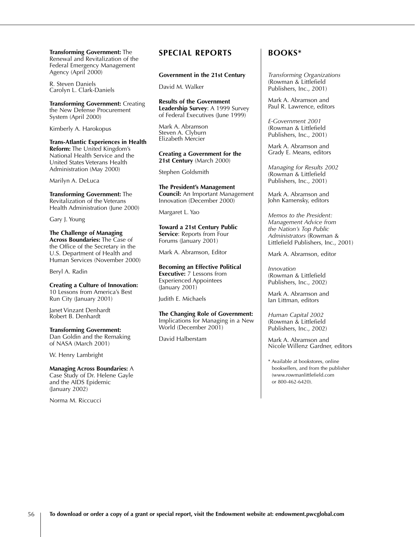**Transforming Government:** The Renewal and Revitalization of the Federal Emergency Management Agency (April 2000)

R. Steven Daniels Carolyn L. Clark-Daniels

**Transforming Government:** Creating the New Defense Procurement System (April 2000)

Kimberly A. Harokopus

**Trans-Atlantic Experiences in Health Reform:** The United Kingdom's National Health Service and the United States Veterans Health Administration (May 2000)

Marilyn A. DeLuca

**Transforming Government:** The Revitalization of the Veterans Health Administration (June 2000)

Gary J. Young

**The Challenge of Managing Across Boundaries:** The Case of the Office of the Secretary in the U.S. Department of Health and Human Services (November 2000)

Beryl A. Radin

**Creating a Culture of Innovation:** 10 Lessons from America's Best Run City (January 2001)

Janet Vinzant Denhardt Robert B. Denhardt

**Transforming Government:** Dan Goldin and the Remaking of NASA (March 2001)

W. Henry Lambright

**Managing Across Boundaries:** A Case Study of Dr. Helene Gayle and the AIDS Epidemic (January 2002)

Norma M. Riccucci

### **SPECIAL REPORTS**

#### **Government in the 21st Century**

David M. Walker

**Results of the Government Leadership Survey**: A 1999 Survey of Federal Executives (June 1999)

Mark A. Abramson Steven A. Clyburn Elizabeth Mercier

**Creating a Government for the 21st Century** (March 2000)

Stephen Goldsmith

**The President's Management Council:** An Important Management Innovation (December 2000)

Margaret L. Yao

**Toward a 21st Century Public Service**: Reports from Four Forums (January 2001)

Mark A. Abramson, Editor

**Becoming an Effective Political Executive:** 7 Lessons from Experienced Appointees (January 2001)

Judith E. Michaels

**The Changing Role of Government:** Implications for Managing in a New World (December 2001)

David Halberstam

### **BOOKS\***

*Transforming Organizations* (Rowman & Littlefield Publishers, Inc., 2001)

Mark A. Abramson and Paul R. Lawrence, editors

*E-Government 2001* (Rowman & Littlefield Publishers, Inc., 2001)

Mark A. Abramson and Grady E. Means, editors

*Managing for Results 2002* (Rowman & Littlefield Publishers, Inc., 2001)

Mark A. Abramson and John Kamensky, editors

*Memos to the President: Management Advice from the Nation's Top Public Administrators* (Rowman & Littlefield Publishers, Inc., 2001)

Mark A. Abramson, editor

*Innovation* (Rowman & Littlefield Publishers, Inc., 2002)

Mark A. Abramson and Ian Littman, editors

*Human Capital 2002* (Rowman & Littlefield Publishers, Inc., 2002)

Mark A. Abramson and Nicole Willenz Gardner, editors

\* Available at bookstores, online booksellers, and from the publisher (www.rowmanlittlefield.com or 800-462-6420).